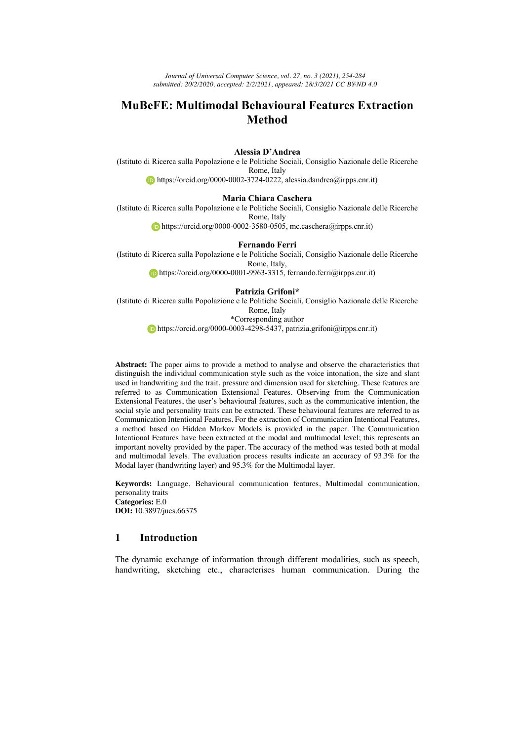*Journal of Universal Computer Science, vol. 27, no. 3 (2021), 254-284 submitted: 20/2/2020, accepted: 2/2/2021, appeared: 28/3/2021 CC BY-ND 4.0*

# **MuBeFE: Multimodal Behavioural Features Extraction Method**

**Alessia D'Andrea**

(Istituto di Ricerca sulla Popolazione e le Politiche Sociali, Consiglio Nazionale delle Ricerche Rome, Italy https://orcid.org/0000-0002-3724-0222, alessia.dandrea@irpps.cnr.it)

### **Maria Chiara Caschera**

(Istituto di Ricerca sulla Popolazione e le Politiche Sociali, Consiglio Nazionale delle Ricerche Rome, Italy https://orcid.org/0000-0002-3580-0505, mc.caschera@irpps.cnr.it)

**Fernando Ferri**

(Istituto di Ricerca sulla Popolazione e le Politiche Sociali, Consiglio Nazionale delle Ricerche Rome, Italy,  $\bullet$  https://orcid.org/0000-0001-9963-3315, fernando.ferri@irpps.cnr.it)

#### **Patrizia Grifoni\***

(Istituto di Ricerca sulla Popolazione e le Politiche Sociali, Consiglio Nazionale delle Ricerche Rome, Italy \*Corresponding author https://orcid.org/0000-0003-4298-5437, patrizia.grifoni@irpps.cnr.it)

**Abstract:** The paper aims to provide a method to analyse and observe the characteristics that distinguish the individual communication style such as the voice intonation, the size and slant used in handwriting and the trait, pressure and dimension used for sketching. These features are referred to as Communication Extensional Features. Observing from the Communication Extensional Features, the user's behavioural features, such as the communicative intention, the social style and personality traits can be extracted. These behavioural features are referred to as Communication Intentional Features. For the extraction of Communication Intentional Features, a method based on Hidden Markov Models is provided in the paper. The Communication Intentional Features have been extracted at the modal and multimodal level; this represents an important novelty provided by the paper. The accuracy of the method was tested both at modal and multimodal levels. The evaluation process results indicate an accuracy of 93.3% for the Modal layer (handwriting layer) and 95.3% for the Multimodal layer.

**Keywords:** Language, Behavioural communication features, Multimodal communication, personality traits **Categories:** E.0 **DOI:** 10.3897/jucs.66375

# **1 Introduction**

The dynamic exchange of information through different modalities, such as speech, handwriting, sketching etc., characterises human communication. During the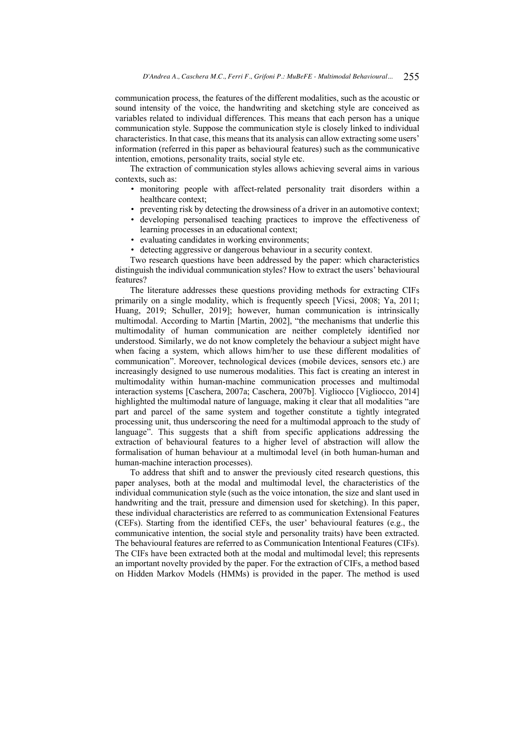communication process, the features of the different modalities, such as the acoustic or sound intensity of the voice, the handwriting and sketching style are conceived as variables related to individual differences. This means that each person has a unique communication style. Suppose the communication style is closely linked to individual characteristics. In that case, this means that its analysis can allow extracting some users' information (referred in this paper as behavioural features) such as the communicative intention, emotions, personality traits, social style etc.

The extraction of communication styles allows achieving several aims in various contexts, such as:

- monitoring people with affect-related personality trait disorders within a healthcare context;
- preventing risk by detecting the drowsiness of a driver in an automotive context;
- developing personalised teaching practices to improve the effectiveness of learning processes in an educational context;
- evaluating candidates in working environments;
- detecting aggressive or dangerous behaviour in a security context.

Two research questions have been addressed by the paper: which characteristics distinguish the individual communication styles? How to extract the users' behavioural features?

The literature addresses these questions providing methods for extracting CIFs primarily on a single modality, which is frequently speech [Vicsi, 2008; Ya, 2011; Huang, 2019; Schuller, 2019]; however, human communication is intrinsically multimodal. According to Martin [Martin, 2002], "the mechanisms that underlie this multimodality of human communication are neither completely identified nor understood. Similarly, we do not know completely the behaviour a subject might have when facing a system, which allows him/her to use these different modalities of communication". Moreover, technological devices (mobile devices, sensors etc.) are increasingly designed to use numerous modalities. This fact is creating an interest in multimodality within human-machine communication processes and multimodal interaction systems [Caschera, 2007a; Caschera, 2007b]. Vigliocco [Vigliocco, 2014] highlighted the multimodal nature of language, making it clear that all modalities "are part and parcel of the same system and together constitute a tightly integrated processing unit, thus underscoring the need for a multimodal approach to the study of language". This suggests that a shift from specific applications addressing the extraction of behavioural features to a higher level of abstraction will allow the formalisation of human behaviour at a multimodal level (in both human-human and human-machine interaction processes).

To address that shift and to answer the previously cited research questions, this paper analyses, both at the modal and multimodal level, the characteristics of the individual communication style (such as the voice intonation, the size and slant used in handwriting and the trait, pressure and dimension used for sketching). In this paper, these individual characteristics are referred to as communication Extensional Features (CEFs). Starting from the identified CEFs, the user' behavioural features (e.g., the communicative intention, the social style and personality traits) have been extracted. The behavioural features are referred to as Communication Intentional Features (CIFs). The CIFs have been extracted both at the modal and multimodal level; this represents an important novelty provided by the paper. For the extraction of CIFs, a method based on Hidden Markov Models (HMMs) is provided in the paper. The method is used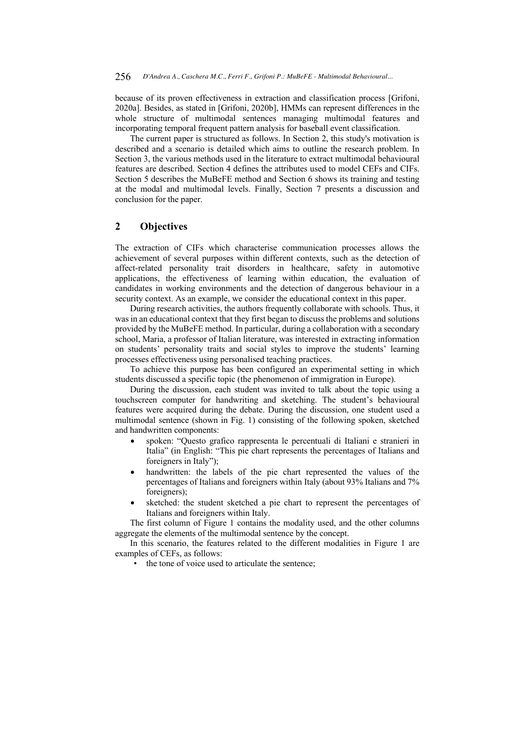because of its proven effectiveness in extraction and classification process [Grifoni, 2020a]. Besides, as stated in [Grifoni, 2020b], HMMs can represent differences in the whole structure of multimodal sentences managing multimodal features and incorporating temporal frequent pattern analysis for baseball event classification.

The current paper is structured as follows. In Section 2, this study's motivation is described and a scenario is detailed which aims to outline the research problem. In Section 3, the various methods used in the literature to extract multimodal behavioural features are described. Section 4 defines the attributes used to model CEFs and CIFs. Section 5 describes the MuBeFE method and Section 6 shows its training and testing at the modal and multimodal levels. Finally, Section 7 presents a discussion and conclusion for the paper.

# **2 Objectives**

The extraction of CIFs which characterise communication processes allows the achievement of several purposes within different contexts, such as the detection of affect-related personality trait disorders in healthcare, safety in automotive applications, the effectiveness of learning within education, the evaluation of candidates in working environments and the detection of dangerous behaviour in a security context. As an example, we consider the educational context in this paper.

During research activities, the authors frequently collaborate with schools. Thus, it was in an educational context that they first began to discuss the problems and solutions provided by the MuBeFE method. In particular, during a collaboration with a secondary school, Maria, a professor of Italian literature, was interested in extracting information on students' personality traits and social styles to improve the students' learning processes effectiveness using personalised teaching practices.

To achieve this purpose has been configured an experimental setting in which students discussed a specific topic (the phenomenon of immigration in Europe).

During the discussion, each student was invited to talk about the topic using a touchscreen computer for handwriting and sketching. The student's behavioural features were acquired during the debate. During the discussion, one student used a multimodal sentence (shown in Fig. 1) consisting of the following spoken, sketched and handwritten components:

- spoken: "Questo grafico rappresenta le percentuali di Italiani e stranieri in Italia" (in English: "This pie chart represents the percentages of Italians and foreigners in Italy");
- handwritten: the labels of the pie chart represented the values of the percentages of Italians and foreigners within Italy (about 93% Italians and 7% foreigners);
- sketched: the student sketched a pie chart to represent the percentages of Italians and foreigners within Italy.

The first column of Figure 1 contains the modality used, and the other columns aggregate the elements of the multimodal sentence by the concept.

In this scenario, the features related to the different modalities in Figure 1 are examples of CEFs, as follows:

• the tone of voice used to articulate the sentence;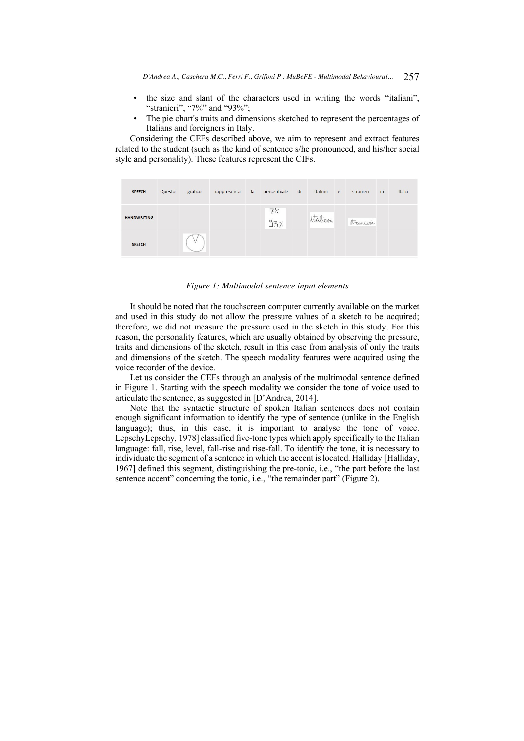- the size and slant of the characters used in writing the words "italiani", "stranieri", "7%" and "93%";
- The pie chart's traits and dimensions sketched to represent the percentages of Italians and foreigners in Italy.

Considering the CEFs described above, we aim to represent and extract features related to the student (such as the kind of sentence s/he pronounced, and his/her social style and personality). These features represent the CIFs.

| <b>SPEECH</b>      | Questo | grafico | rappresenta | la | percentuale | di | Italiani | e | stranieri | in | Italia |
|--------------------|--------|---------|-------------|----|-------------|----|----------|---|-----------|----|--------|
| <b>HANDWRITING</b> |        |         |             |    | デン<br>937.  |    | italiani |   | stranieri |    |        |
| <b>SKETCH</b>      |        |         |             |    |             |    |          |   |           |    |        |

### *Figure 1: Multimodal sentence input elements*

It should be noted that the touchscreen computer currently available on the market and used in this study do not allow the pressure values of a sketch to be acquired; therefore, we did not measure the pressure used in the sketch in this study. For this reason, the personality features, which are usually obtained by observing the pressure, traits and dimensions of the sketch, result in this case from analysis of only the traits and dimensions of the sketch. The speech modality features were acquired using the voice recorder of the device.

Let us consider the CEFs through an analysis of the multimodal sentence defined in Figure 1. Starting with the speech modality we consider the tone of voice used to articulate the sentence, as suggested in [D'Andrea, 2014].

Note that the syntactic structure of spoken Italian sentences does not contain enough significant information to identify the type of sentence (unlike in the English language); thus, in this case, it is important to analyse the tone of voice. LepschyLepschy, 1978] classified five-tone types which apply specifically to the Italian language: fall, rise, level, fall-rise and rise-fall. To identify the tone, it is necessary to individuate the segment of a sentence in which the accent is located. Halliday [Halliday, 1967] defined this segment, distinguishing the pre-tonic, i.e., "the part before the last sentence accent" concerning the tonic, i.e., "the remainder part" (Figure 2).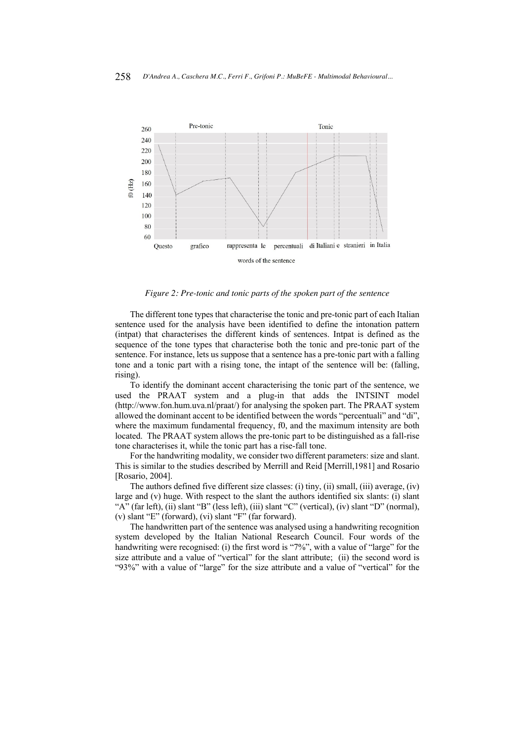

*Figure 2: Pre-tonic and tonic parts of the spoken part of the sentence*

The different tone types that characterise the tonic and pre-tonic part of each Italian sentence used for the analysis have been identified to define the intonation pattern (intpat) that characterises the different kinds of sentences. Intpat is defined as the sequence of the tone types that characterise both the tonic and pre-tonic part of the sentence. For instance, lets us suppose that a sentence has a pre-tonic part with a falling tone and a tonic part with a rising tone, the intapt of the sentence will be: (falling, rising).

To identify the dominant accent characterising the tonic part of the sentence, we used the PRAAT system and a plug-in that adds the INTSINT model (http://www.fon.hum.uva.nl/praat/) for analysing the spoken part. The PRAAT system allowed the dominant accent to be identified between the words "percentuali" and "di", where the maximum fundamental frequency, f0, and the maximum intensity are both located. The PRAAT system allows the pre-tonic part to be distinguished as a fall-rise tone characterises it, while the tonic part has a rise-fall tone.

For the handwriting modality, we consider two different parameters: size and slant. This is similar to the studies described by Merrill and Reid [Merrill,1981] and Rosario [Rosario, 2004].

The authors defined five different size classes: (i) tiny, (ii) small, (iii) average, (iv) large and (v) huge. With respect to the slant the authors identified six slants: (i) slant "A" (far left), (ii) slant "B" (less left), (iii) slant "C" (vertical), (iv) slant "D" (normal), (v) slant "E" (forward), (vi) slant "F" (far forward).

The handwritten part of the sentence was analysed using a handwriting recognition system developed by the Italian National Research Council. Four words of the handwriting were recognised: (i) the first word is "7%", with a value of "large" for the size attribute and a value of "vertical" for the slant attribute; (ii) the second word is "93%" with a value of "large" for the size attribute and a value of "vertical" for the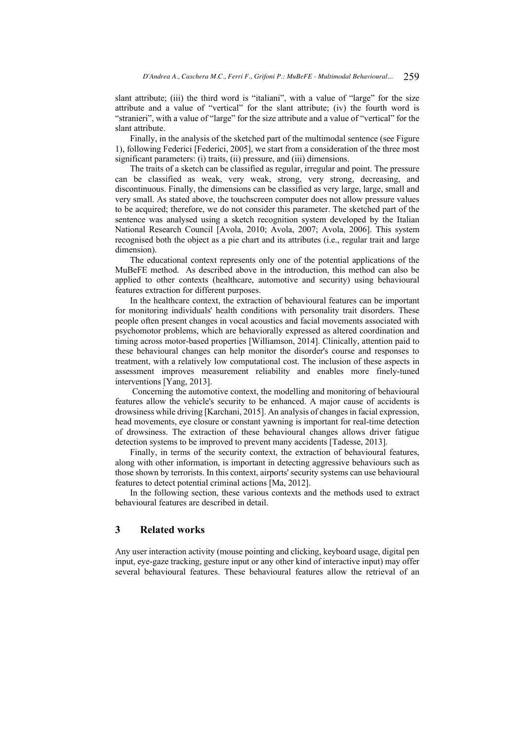slant attribute; (iii) the third word is "italiani", with a value of "large" for the size attribute and a value of "vertical" for the slant attribute; (iv) the fourth word is "stranieri", with a value of "large" for the size attribute and a value of "vertical" for the slant attribute.

Finally, in the analysis of the sketched part of the multimodal sentence (see Figure 1), following Federici [Federici, 2005], we start from a consideration of the three most significant parameters: (i) traits, (ii) pressure, and (iii) dimensions.

The traits of a sketch can be classified as regular, irregular and point. The pressure can be classified as weak, very weak, strong, very strong, decreasing, and discontinuous. Finally, the dimensions can be classified as very large, large, small and very small. As stated above, the touchscreen computer does not allow pressure values to be acquired; therefore, we do not consider this parameter. The sketched part of the sentence was analysed using a sketch recognition system developed by the Italian National Research Council [Avola, 2010; Avola, 2007; Avola, 2006]. This system recognised both the object as a pie chart and its attributes (i.e., regular trait and large dimension).

The educational context represents only one of the potential applications of the MuBeFE method. As described above in the introduction, this method can also be applied to other contexts (healthcare, automotive and security) using behavioural features extraction for different purposes.

In the healthcare context, the extraction of behavioural features can be important for monitoring individuals' health conditions with personality trait disorders. These people often present changes in vocal acoustics and facial movements associated with psychomotor problems, which are behaviorally expressed as altered coordination and timing across motor-based properties [Williamson, 2014]. Clinically, attention paid to these behavioural changes can help monitor the disorder's course and responses to treatment, with a relatively low computational cost. The inclusion of these aspects in assessment improves measurement reliability and enables more finely-tuned interventions [Yang, 2013].

Concerning the automotive context, the modelling and monitoring of behavioural features allow the vehicle's security to be enhanced. A major cause of accidents is drowsiness while driving [Karchani, 2015]. An analysis of changes in facial expression, head movements, eye closure or constant yawning is important for real-time detection of drowsiness. The extraction of these behavioural changes allows driver fatigue detection systems to be improved to prevent many accidents [Tadesse, 2013].

Finally, in terms of the security context, the extraction of behavioural features, along with other information, is important in detecting aggressive behaviours such as those shown by terrorists. In this context, airports' security systems can use behavioural features to detect potential criminal actions [Ma, 2012].

In the following section, these various contexts and the methods used to extract behavioural features are described in detail.

# **3 Related works**

Any user interaction activity (mouse pointing and clicking, keyboard usage, digital pen input, eye-gaze tracking, gesture input or any other kind of interactive input) may offer several behavioural features. These behavioural features allow the retrieval of an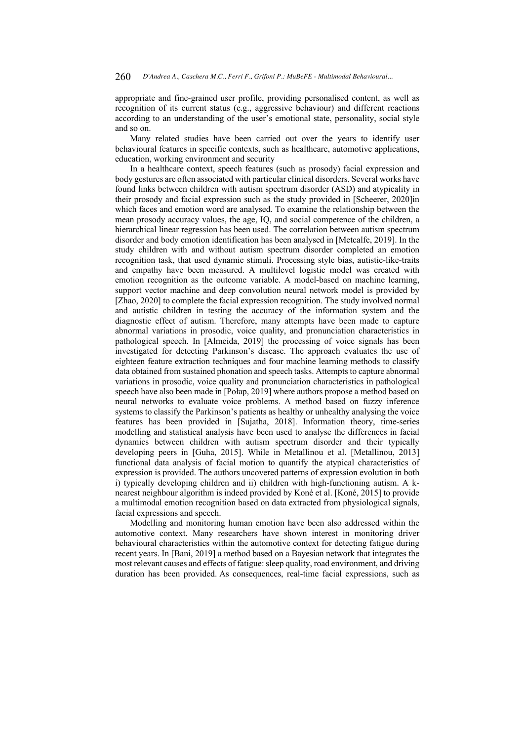appropriate and fine-grained user profile, providing personalised content, as well as recognition of its current status (e.g., aggressive behaviour) and different reactions according to an understanding of the user's emotional state, personality, social style and so on.

Many related studies have been carried out over the years to identify user behavioural features in specific contexts, such as healthcare, automotive applications, education, working environment and security

In a healthcare context, speech features (such as prosody) facial expression and body gestures are often associated with particular clinical disorders. Several works have found links between children with autism spectrum disorder (ASD) and atypicality in their prosody and facial expression such as the study provided in [Scheerer, 2020]in which faces and emotion word are analysed. To examine the relationship between the mean prosody accuracy values, the age, IQ, and social competence of the children, a hierarchical linear regression has been used. The correlation between autism spectrum disorder and body emotion identification has been analysed in [Metcalfe, 2019]. In the study children with and without autism spectrum disorder completed an emotion recognition task, that used dynamic stimuli. Processing style bias, autistic-like-traits and empathy have been measured. A multilevel logistic model was created with emotion recognition as the outcome variable. A model-based on machine learning, support vector machine and deep convolution neural network model is provided by [Zhao, 2020] to complete the facial expression recognition. The study involved normal and autistic children in testing the accuracy of the information system and the diagnostic effect of autism. Therefore, many attempts have been made to capture abnormal variations in prosodic, voice quality, and pronunciation characteristics in pathological speech. In [Almeida, 2019] the processing of voice signals has been investigated for detecting Parkinson's disease. The approach evaluates the use of eighteen feature extraction techniques and four machine learning methods to classify data obtained from sustained phonation and speech tasks. Attempts to capture abnormal variations in prosodic, voice quality and pronunciation characteristics in pathological speech have also been made in [Połap, 2019] where authors propose a method based on neural networks to evaluate voice problems. A method based on fuzzy inference systems to classify the Parkinson's patients as healthy or unhealthy analysing the voice features has been provided in [Sujatha, 2018]. Information theory, time-series modelling and statistical analysis have been used to analyse the differences in facial dynamics between children with autism spectrum disorder and their typically developing peers in [Guha, 2015]. While in Metallinou et al. [Metallinou, 2013] functional data analysis of facial motion to quantify the atypical characteristics of expression is provided. The authors uncovered patterns of expression evolution in both i) typically developing children and ii) children with high-functioning autism. A knearest neighbour algorithm is indeed provided by Koné et al. [Koné, 2015] to provide a multimodal emotion recognition based on data extracted from physiological signals, facial expressions and speech.

Modelling and monitoring human emotion have been also addressed within the automotive context. Many researchers have shown interest in monitoring driver behavioural characteristics within the automotive context for detecting fatigue during recent years. In [Bani, 2019] a method based on a Bayesian network that integrates the most relevant causes and effects of fatigue: sleep quality, road environment, and driving duration has been provided. As consequences, real-time facial expressions, such as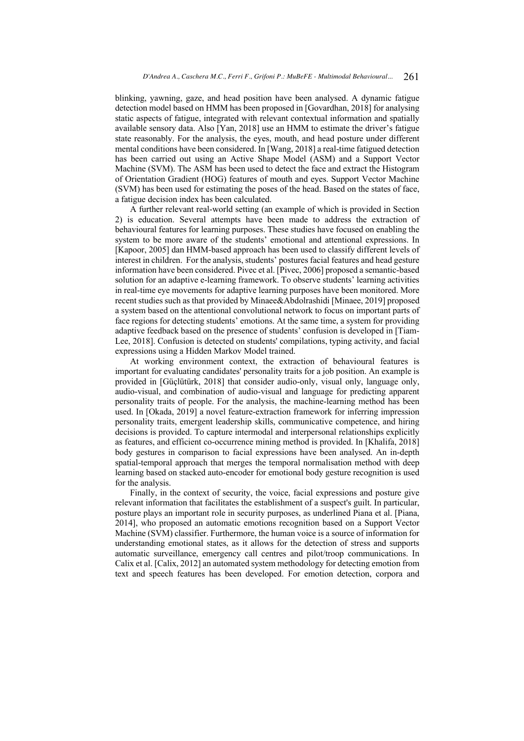blinking, yawning, gaze, and head position have been analysed. A dynamic fatigue detection model based on HMM has been proposed in [Govardhan, 2018] for analysing static aspects of fatigue, integrated with relevant contextual information and spatially available sensory data. Also [Yan, 2018] use an HMM to estimate the driver's fatigue state reasonably. For the analysis, the eyes, mouth, and head posture under different mental conditions have been considered. In [Wang, 2018] a real-time fatigued detection has been carried out using an Active Shape Model (ASM) and a Support Vector Machine (SVM). The ASM has been used to detect the face and extract the Histogram of Orientation Gradient (HOG) features of mouth and eyes. Support Vector Machine (SVM) has been used for estimating the poses of the head. Based on the states of face, a fatigue decision index has been calculated.

A further relevant real-world setting (an example of which is provided in Section 2) is education. Several attempts have been made to address the extraction of behavioural features for learning purposes. These studies have focused on enabling the system to be more aware of the students' emotional and attentional expressions. In [Kapoor, 2005] dan HMM-based approach has been used to classify different levels of interest in children. For the analysis, students' postures facial features and head gesture information have been considered. Pivec et al. [Pivec, 2006] proposed a semantic-based solution for an adaptive e-learning framework. To observe students' learning activities in real-time eye movements for adaptive learning purposes have been monitored. More recent studies such as that provided by Minaee&Abdolrashidi [Minaee, 2019] proposed a system based on the attentional convolutional network to focus on important parts of face regions for detecting students' emotions. At the same time, a system for providing adaptive feedback based on the presence of students' confusion is developed in [Tiam-Lee, 2018]. Confusion is detected on students' compilations, typing activity, and facial expressions using a Hidden Markov Model trained.

At working environment context, the extraction of behavioural features is important for evaluating candidates' personality traits for a job position. An example is provided in [Güçlütürk, 2018] that consider audio-only, visual only, language only, audio-visual, and combination of audio-visual and language for predicting apparent personality traits of people. For the analysis, the machine-learning method has been used. In [Okada, 2019] a novel feature-extraction framework for inferring impression personality traits, emergent leadership skills, communicative competence, and hiring decisions is provided. To capture intermodal and interpersonal relationships explicitly as features, and efficient co-occurrence mining method is provided. In [Khalifa, 2018] body gestures in comparison to facial expressions have been analysed. An in-depth spatial-temporal approach that merges the temporal normalisation method with deep learning based on stacked auto-encoder for emotional body gesture recognition is used for the analysis.

Finally, in the context of security, the voice, facial expressions and posture give relevant information that facilitates the establishment of a suspect's guilt. In particular, posture plays an important role in security purposes, as underlined Piana et al. [Piana, 2014], who proposed an automatic emotions recognition based on a Support Vector Machine (SVM) classifier. Furthermore, the human voice is a source of information for understanding emotional states, as it allows for the detection of stress and supports automatic surveillance, emergency call centres and pilot/troop communications. In Calix et al. [Calix, 2012] an automated system methodology for detecting emotion from text and speech features has been developed. For emotion detection, corpora and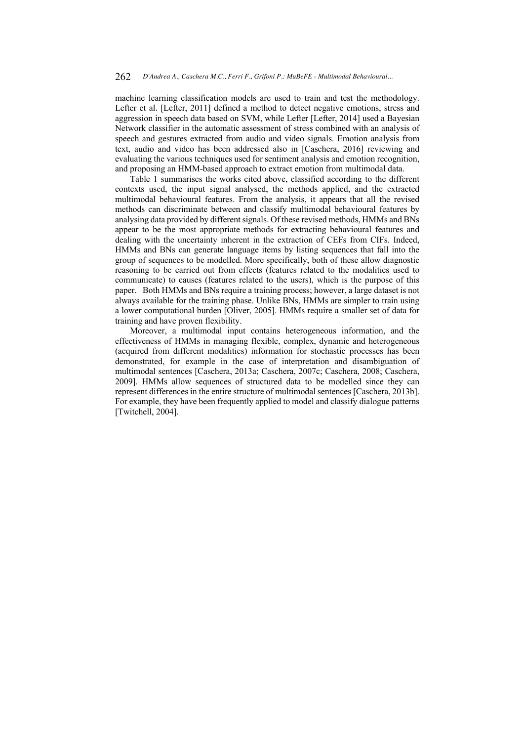machine learning classification models are used to train and test the methodology. Lefter et al. [Lefter, 2011] defined a method to detect negative emotions, stress and aggression in speech data based on SVM, while Lefter [Lefter, 2014] used a Bayesian Network classifier in the automatic assessment of stress combined with an analysis of speech and gestures extracted from audio and video signals. Emotion analysis from text, audio and video has been addressed also in [Caschera, 2016] reviewing and evaluating the various techniques used for sentiment analysis and emotion recognition, and proposing an HMM-based approach to extract emotion from multimodal data.

Table 1 summarises the works cited above, classified according to the different contexts used, the input signal analysed, the methods applied, and the extracted multimodal behavioural features. From the analysis, it appears that all the revised methods can discriminate between and classify multimodal behavioural features by analysing data provided by different signals. Of these revised methods, HMMs and BNs appear to be the most appropriate methods for extracting behavioural features and dealing with the uncertainty inherent in the extraction of CEFs from CIFs. Indeed, HMMs and BNs can generate language items by listing sequences that fall into the group of sequences to be modelled. More specifically, both of these allow diagnostic reasoning to be carried out from effects (features related to the modalities used to communicate) to causes (features related to the users), which is the purpose of this paper. Both HMMs and BNs require a training process; however, a large dataset is not always available for the training phase. Unlike BNs, HMMs are simpler to train using a lower computational burden [Oliver, 2005]. HMMs require a smaller set of data for training and have proven flexibility.

Moreover, a multimodal input contains heterogeneous information, and the effectiveness of HMMs in managing flexible, complex, dynamic and heterogeneous (acquired from different modalities) information for stochastic processes has been demonstrated, for example in the case of interpretation and disambiguation of multimodal sentences [Caschera, 2013a; Caschera, 2007c; Caschera, 2008; Caschera, 2009]. HMMs allow sequences of structured data to be modelled since they can represent differences in the entire structure of multimodal sentences [Caschera, 2013b]. For example, they have been frequently applied to model and classify dialogue patterns [Twitchell, 2004].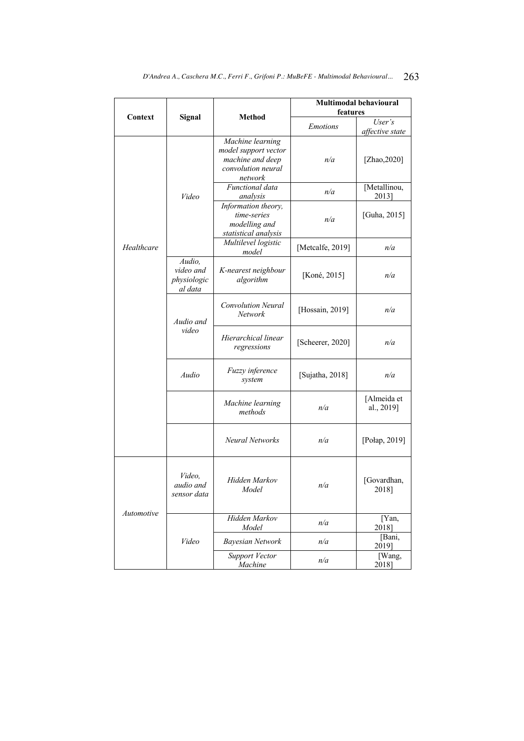|            |                                               |                                                                                               | <b>Multimodal behavioural</b><br>features |                           |  |  |
|------------|-----------------------------------------------|-----------------------------------------------------------------------------------------------|-------------------------------------------|---------------------------|--|--|
| Context    | Signal                                        | <b>Method</b>                                                                                 | User's                                    |                           |  |  |
|            |                                               |                                                                                               | <b>Emotions</b>                           | affective state           |  |  |
|            |                                               | Machine learning<br>model support vector<br>machine and deep<br>convolution neural<br>network | n/a                                       | [Zhao, $2020$ ]           |  |  |
|            | Video                                         | Functional data<br>analysis                                                                   | n/a                                       | [Metallinou,<br>2013]     |  |  |
|            |                                               | Information theory,<br>time-series<br>modelling and<br>statistical analysis                   | n/a                                       | [Guha, 2015]              |  |  |
| Healthcare |                                               | Multilevel logistic<br>model                                                                  | [Metcalfe, 2019]                          | n/a                       |  |  |
|            | Audio,<br>video and<br>physiologic<br>al data | K-nearest neighbour<br>algorithm                                                              | [Koné, 2015]                              | n/a                       |  |  |
|            | Audio and                                     | <b>Convolution Neural</b><br>Network                                                          | [Hossain, 2019]                           | n/a                       |  |  |
|            | video                                         | Hierarchical linear<br>regressions                                                            | [Scheerer, 2020]                          | n/a                       |  |  |
|            | Audio                                         | Fuzzy inference<br>system                                                                     | [Sujatha, 2018]                           | n/a                       |  |  |
|            |                                               | Machine learning<br>methods                                                                   | n/a                                       | [Almeida et<br>al., 2019] |  |  |
|            |                                               | Neural Networks                                                                               | n/a                                       | [Połap, 2019]             |  |  |
|            | Video.<br>audio and<br>sensor data            | Hidden Markov<br>Model                                                                        | n/a                                       | [Govardhan,<br>2018]      |  |  |
| Automotive |                                               | Hidden Markov<br>Model                                                                        | n/a                                       | [Yan,<br>2018]            |  |  |
|            | Video                                         | <b>Bayesian Network</b>                                                                       | n/a                                       | [Bani,<br>2019]           |  |  |
|            |                                               | Support Vector<br>Machine                                                                     | n/a                                       | [Wang,<br>2018]           |  |  |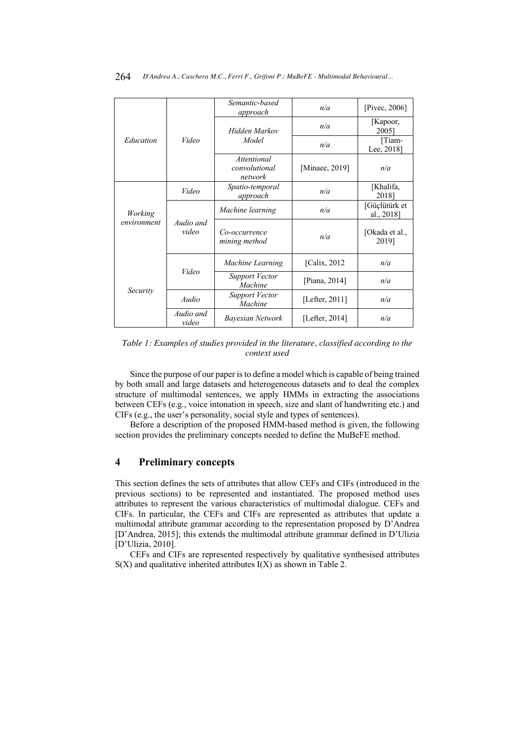|             |                    | Semantic-based<br>approach              | n/a               | [Pivec, $2006$ ]            |
|-------------|--------------------|-----------------------------------------|-------------------|-----------------------------|
|             |                    | Hidden Markov                           | n/a               | [Kapoor,<br>20051           |
| Education   | Video              | Model                                   | n/a               | [Tiam-<br>Lee, 2018]        |
|             |                    | Attentional<br>convolutional<br>network | [Minaee, 2019]    | n/a                         |
|             | Video              | Spatio-temporal<br>approach             | n/a               | [Khalifa,<br>2018]          |
| Working     | Audio and<br>video | Machine learning                        | n/a               | [Güçlütürk et<br>al., 2018] |
| environment |                    | Co-occurrence<br>mining method          | n/a               | [Okada et al.,<br>2019]     |
|             |                    | Machine Learning                        | [Calix, 2012]     | n/a                         |
| Security    | Video              | <b>Support Vector</b><br>Machine        | [Piana, 2014]     | n/a                         |
|             | Audio              | <b>Support Vector</b><br>Machine        | [Lefter, $2011$ ] | n/a                         |
|             | Audio and<br>video | Bayesian Network                        | [Lefter, $2014$ ] | n/a                         |

*Table 1: Examples of studies provided in the literature, classified according to the context used*

Since the purpose of our paper is to define a model which is capable of being trained by both small and large datasets and heterogeneous datasets and to deal the complex structure of multimodal sentences, we apply HMMs in extracting the associations between CEFs (e.g., voice intonation in speech, size and slant of handwriting etc.) and CIFs (e.g., the user's personality, social style and types of sentences).

Before a description of the proposed HMM-based method is given, the following section provides the preliminary concepts needed to define the MuBeFE method.

# **4 Preliminary concepts**

This section defines the sets of attributes that allow CEFs and CIFs (introduced in the previous sections) to be represented and instantiated. The proposed method uses attributes to represent the various characteristics of multimodal dialogue. CEFs and CIFs. In particular, the CEFs and CIFs are represented as attributes that update a multimodal attribute grammar according to the representation proposed by D'Andrea [D'Andrea, 2015]; this extends the multimodal attribute grammar defined in D'Ulizia [D'Ulizia, 2010].

CEFs and CIFs are represented respectively by qualitative synthesised attributes  $S(X)$  and qualitative inherited attributes  $I(X)$  as shown in Table 2.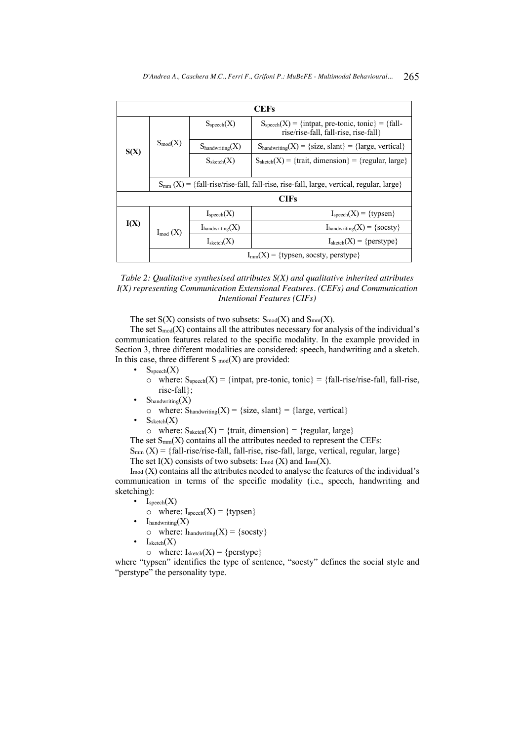|      | <b>CEFs</b>                                    |                                                                                                                           |                                                                                                                               |  |  |  |
|------|------------------------------------------------|---------------------------------------------------------------------------------------------------------------------------|-------------------------------------------------------------------------------------------------------------------------------|--|--|--|
|      |                                                | $S_{\text{speech}}(X)$                                                                                                    | $S_{\text{speech}}(X) = \{ \text{intpat, pre-tonic, tonic} \} = \{ \text{fall} - \}$<br>rise/rise-fall, fall-rise, rise-fall} |  |  |  |
| S(X) | $S_{mod}(X)$                                   | $S_{\text{handwriting}}(X)$                                                                                               | $S_{\text{handwriting}}(X) = \{size, slant\} = \{large, vertical\}$                                                           |  |  |  |
|      |                                                | $S_{\rm sketch}(X)$                                                                                                       | $S_{\text{sketch}}(X) = \{ \text{train}, \text{dimension} \} = \{ \text{regular}, \text{large} \}$                            |  |  |  |
|      |                                                |                                                                                                                           |                                                                                                                               |  |  |  |
|      |                                                | $S_{mm}(X) = \{fall\text{-}rise\text{/rise-fall}, fall\text{-}rise, rise\text{-}fall, large, vertical, regular, large}\}$ |                                                                                                                               |  |  |  |
|      |                                                |                                                                                                                           | <b>CIFs</b>                                                                                                                   |  |  |  |
|      |                                                | $I_{\text{speech}}(X)$                                                                                                    | $I_{\text{speech}}(X) = \{ \text{typsen} \}$                                                                                  |  |  |  |
| I(X) | $I_{mod}(X)$                                   | $I_{\text{handwriting}}(X)$                                                                                               | $I_{\text{handwriting}}(X) = \{\text{socsty}\}\$                                                                              |  |  |  |
|      |                                                | $I_{\text{sketch}}(X)$                                                                                                    | $I_{\text{sketch}}(X) = \{ \text{perstype} \}$                                                                                |  |  |  |
|      | $I_{mm}(X) = \{$ typsen, socsty, perstype $\}$ |                                                                                                                           |                                                                                                                               |  |  |  |



The set  $S(X)$  consists of two subsets:  $S_{mod}(X)$  and  $S_{mm}(X)$ .

The set  $S_{mod}(X)$  contains all the attributes necessary for analysis of the individual's communication features related to the specific modality. In the example provided in Section 3, three different modalities are considered: speech, handwriting and a sketch. In this case, three different  $S_{mod}(X)$  are provided:

 $S_{\text{speech}}(X)$ 

 $\circ$  where:  $S_{\text{speech}}(X) = \{\text{intpat, pre-tonic, tonic}\} = \{\text{fall-rise/rise-fall, fall-rise,}\}$ rise-fall};

 $S_{\text{handwriting}}(X)$ 

 $\circ$  where:  $S_{handwriting}(X) = \{size, slant\} = \{large, vertical\}$ 

 $S<sub>sketch</sub>(X)$ 

o where:  $S_{\text{sketch}}(X) = \{ \text{train}, \text{dimension} \} = \{ \text{regular}, \text{large} \}$ 

The set  $S_{mm}(X)$  contains all the attributes needed to represent the CEFs:

 $S_{mm}$  (X) = {fall-rise/rise-fall, fall-rise, rise-fall, large, vertical, regular, large}

The set  $I(X)$  consists of two subsets:  $I_{mod}(X)$  and  $I_{mm}(X)$ .

 $I_{mod}$  (X) contains all the attributes needed to analyse the features of the individual's communication in terms of the specific modality (i.e., speech, handwriting and sketching):

- $I_{\text{speech}}(X)$ 
	- $\circ$  where: Ispeech(X) = {typsen}
- $I_{\text{handwriting}}(X)$ 
	- $\circ$  where: I<sub>handwriting</sub>(X) = {socsty}
- $I_{\text{sketch}}(X)$ 
	- $\circ$  where: Isketch(X) = {perstype}

where "typsen" identifies the type of sentence, "socsty" defines the social style and "perstype" the personality type.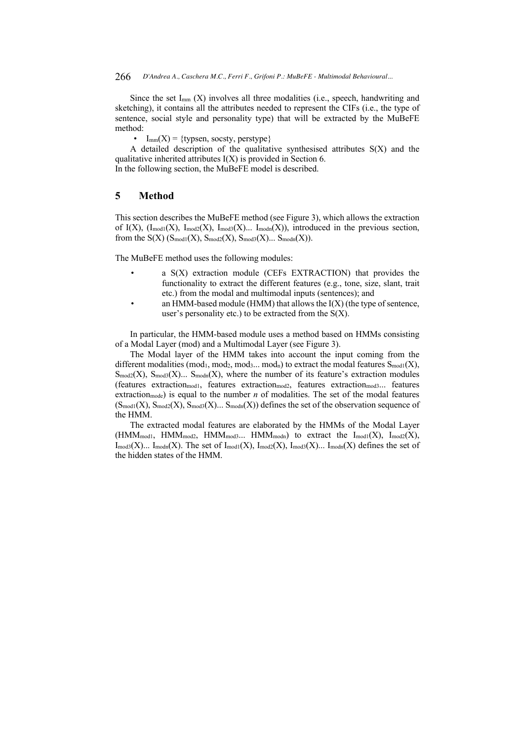#### 266 *D'Andrea A., Caschera M.C., Ferri F., Grifoni P.: MuBeFE - Multimodal Behavioural...*

Since the set  $I_{mm}$  (X) involves all three modalities (i.e., speech, handwriting and sketching), it contains all the attributes needed to represent the CIFs (i.e., the type of sentence, social style and personality type) that will be extracted by the MuBeFE method:

 $I_{mm}(X) = \{$ typsen, socsty, perstype $\}$ 

A detailed description of the qualitative synthesised attributes S(X) and the qualitative inherited attributes  $I(X)$  is provided in Section 6.

In the following section, the MuBeFE model is described.

# **5 Method**

This section describes the MuBeFE method (see Figure 3), which allows the extraction of I(X),  $(I_{\text{mod}1}(X), I_{\text{mod}2}(X), I_{\text{mod}3}(X)$ ...  $I_{\text{mod}m}(X)$ , introduced in the previous section, from the  $S(X)$  ( $S_{\text{mod}1}(X)$ ,  $S_{\text{mod}2}(X)$ ,  $S_{\text{mod}3}(X)$ ...  $S_{\text{mod}n}(X)$ ).

The MuBeFE method uses the following modules:

- a S(X) extraction module (CEFs EXTRACTION) that provides the functionality to extract the different features (e.g., tone, size, slant, trait etc.) from the modal and multimodal inputs (sentences); and
- an HMM-based module (HMM) that allows the  $I(X)$  (the type of sentence, user's personality etc.) to be extracted from the  $S(X)$ .

In particular, the HMM-based module uses a method based on HMMs consisting of a Modal Layer (mod) and a Multimodal Layer (see Figure 3).

The Modal layer of the HMM takes into account the input coming from the different modalities (mod<sub>1</sub>, mod<sub>2</sub>, mod<sub>3</sub>... mod<sub>n</sub>) to extract the modal features  $S_{\text{mod}1}(X)$ ,  $\text{S}_{\text{mod}2}(X)$ ,  $\text{S}_{\text{mod}3}(X)$ ...  $\text{S}_{\text{mod}n}(X)$ , where the number of its feature's extraction modules  $(\text{features extraction}_{\text{mod1}}, \text{ features extraction}_{\text{mod2}}, \text{ features extraction}_{\text{mod3}})$ ... features extraction<sub>mode</sub>) is equal to the number *n* of modalities. The set of the modal features  $(S_{\text{mod}1}(X), S_{\text{mod}2}(X), S_{\text{mod}3}(X)$ ...  $S_{\text{mod}n}(X)$  defines the set of the observation sequence of the HMM.

The extracted modal features are elaborated by the HMMs of the Modal Layer  $(HMM_{mod1}, HMM_{mod2}, HMM_{mod3}... HMM_{modn})$  to extract the  $I_{mod1}(X), I_{mod2}(X),$  ${\rm Imod3}(X)$ ...  ${\rm Imodn}(X)$ . The set of  ${\rm Imod1}(X)$ ,  ${\rm Imod2}(X)$ ,  ${\rm Imod3}(X)$ ...  ${\rm Imodn}(X)$  defines the set of the hidden states of the HMM.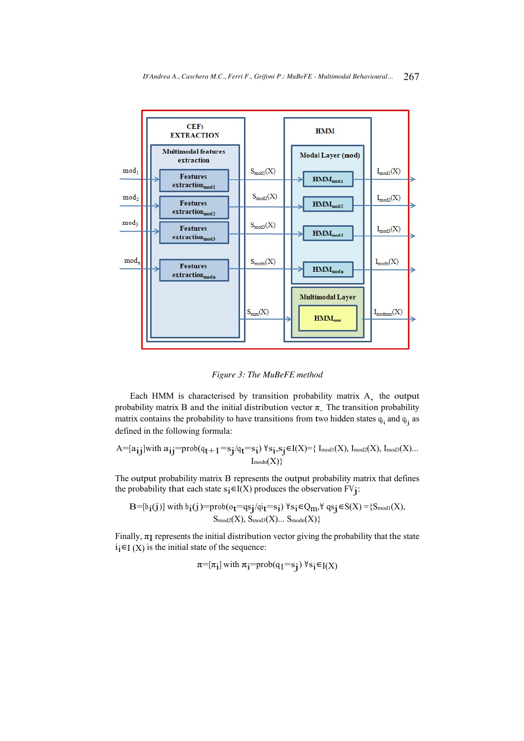

*Figure 3: The MuBeFE method*

Each HMM is characterised by transition probability matrix A, the output probability matrix B and the initial distribution vector  $\pi$ . The transition probability matrix contains the probability to have transitions from two hidden states  $q_{i_1}$  and  $q_{i_j}$  as defined in the following formula:

$$
A\hspace{-0.1cm}=\hspace{-0.1cm}[a_{\textbf{ij}}]\text{with }a_{\textbf{ij}}\hspace{-0.1cm}=\hspace{-0.1cm}\text{prob}(q_{\textbf{t}+1}\hspace{-0.1cm}=\hspace{-0.1cm}s_{\textbf{j}}/q_{\textbf{t}}\hspace{-0.1cm}=\hspace{-0.1cm}s_{\textbf{i}})\ \forall\,s_{\textbf{i}},s_{\textbf{j}}\hspace{-0.1cm}\in\hspace{-0.1cm}I(X)\hspace{-0.1cm}=\hspace{-0.1cm}\{~\mathrm{I_{\mathrm{mod}I}}(X),~\mathrm{I_{\mathrm{mod}2}}(X),~\mathrm{I_{\mathrm{mod}3}}(X) ...\}
$$

The output probability matrix B represents the output probability matrix that defines the probability that each state  $s_i \in I(X)$  produces the observation  $FV_j$ :

$$
\begin{aligned} \mathrm{\mathbf{B}}\!\!=\!\![\mathfrak{b}_{\mathbf{i}}(\mathbf{j})]\ \text{with}\ \mathfrak{b}_{\mathbf{i}}(\mathbf{j})\!\!=\!\!\text{prob}(\mathfrak{o}_{\mathbf{t}}\!\!=\!\!\text{q}\mathfrak{s}_{\mathbf{j}}\!/\!\mathfrak{q}\mathfrak{i}_{\mathbf{t}}\!\!=\!\!\text{s}_{\mathbf{i}})\ \forall\ \mathfrak{s}_{\mathbf{i}}\!\in\!\text{Q}_m\!,\forall\ \mathfrak{q}\mathfrak{s}_{\mathbf{j}}\!\in\!\text{S}(X)\!=\!\{S_{\text{mod}1}(X),\\ S_{\text{mod}2}(X),\ S_{\text{mod}3}(X)...\ S_{\text{mod}n}(X)\}\end{aligned}
$$

Finally,  $\pi$ <sub>I</sub> represents the initial distribution vector giving the probability that the state  $i<sub>i</sub>∈I(X)$  is the initial state of the sequence:

 $\pi=[\pi_1]$  with  $\pi_1=prob(q_1=s_1)$   $\forall s_1 \in I(X)$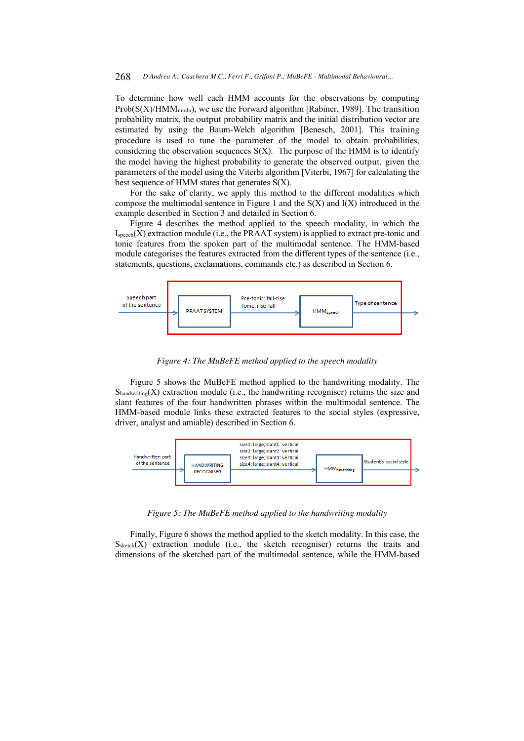To determine how well each HMM accounts for the observations by computing  $Prob(S(X)/HMM_{\text{modn}})$ , we use the Forward algorithm [Rabiner, 1989]. The transition probability matrix, the output probability matrix and the initial distribution vector are estimated by using the Baum-Welch algorithm [Benesch, 2001]. This training procedure is used to tune the parameter of the model to obtain probabilities, considering the observation sequences  $S(X)$ . The purpose of the HMM is to identify the model having the highest probability to generate the observed output, given the parameters of the model using the Viterbi algorithm [Viterbi, 1967] for calculating the best sequence of HMM states that generates  $S(X)$ .

For the sake of clarity, we apply this method to the different modalities which compose the multimodal sentence in Figure 1 and the  $S(X)$  and  $I(X)$  introduced in the example described in Section 3 and detailed in Section 6.

Figure 4 describes the method applied to the speech modality, in which the  $I_{\text{speech}}(X)$  extraction module (i.e., the PRAAT system) is applied to extract pre-tonic and tonic features from the spoken part of the multimodal sentence. The HMM-based module categorises the features extracted from the different types of the sentence (i.e., statements, questions, exclamations, commands etc.) as described in Section 6.



*Figure 4: The MuBeFE method applied to the speech modality*

Figure 5 shows the MuBeFE method applied to the handwriting modality. The  $S<sub>handwriting</sub>(X)$  extraction module (i.e., the handwriting recogniser) returns the size and slant features of the four handwritten phrases within the multimodal sentence. The HMM-based module links these extracted features to the social styles (expressive, driver, analyst and amiable) described in Section 6.



*Figure 5: The MuBeFE method applied to the handwriting modality*

Finally, Figure 6 shows the method applied to the sketch modality. In this case, the  $S<sub>sketch</sub>(X)$  extraction module (i.e., the sketch recogniser) returns the traits and dimensions of the sketched part of the multimodal sentence, while the HMM-based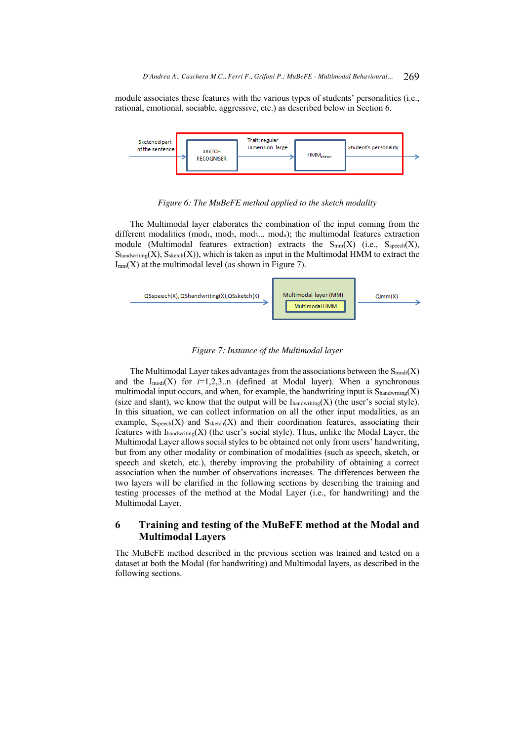module associates these features with the various types of students' personalities (i.e., rational, emotional, sociable, aggressive, etc.) as described below in Section 6.



*Figure 6: The MuBeFE method applied to the sketch modality*

The Multimodal layer elaborates the combination of the input coming from the different modalities (mod<sub>1</sub>, mod<sub>2</sub>, mod<sub>3</sub>... mod<sub>n</sub>); the multimodal features extraction module (Multimodal features extraction) extracts the  $S_{mm}(X)$  (i.e.,  $S_{\text{specch}}(X)$ ,  $S<sub>handwriting</sub>(X), S<sub>sketch</sub>(X)),$  which is taken as input in the Multimodal HMM to extract the  $I_{mm}(X)$  at the multimodal level (as shown in Figure 7).



## *Figure 7: Instance of the Multimodal layer*

The Multimodal Layer takes advantages from the associations between the  $S_{\text{modi}}(X)$ and the  $I_{\text{modi}}(X)$  for  $i=1,2,3...$  (defined at Modal layer). When a synchronous multimodal input occurs, and when, for example, the handwriting input is  $S<sub>handwriting</sub>(X)$ (size and slant), we know that the output will be  $I_{\text{handwriting}}(X)$  (the user's social style). In this situation, we can collect information on all the other input modalities, as an example,  $S<sub>speech</sub>(X)$  and  $S<sub>sheet</sub>(X)$  and their coordination features, associating their features with  $I<sub>handwriting</sub>(X)$  (the user's social style). Thus, unlike the Modal Layer, the Multimodal Layer allows social styles to be obtained not only from users' handwriting, but from any other modality or combination of modalities (such as speech, sketch, or speech and sketch, etc.), thereby improving the probability of obtaining a correct association when the number of observations increases. The differences between the two layers will be clarified in the following sections by describing the training and testing processes of the method at the Modal Layer (i.e., for handwriting) and the Multimodal Layer.

# **6 Training and testing of the MuBeFE method at the Modal and Multimodal Layers**

The MuBeFE method described in the previous section was trained and tested on a dataset at both the Modal (for handwriting) and Multimodal layers, as described in the following sections.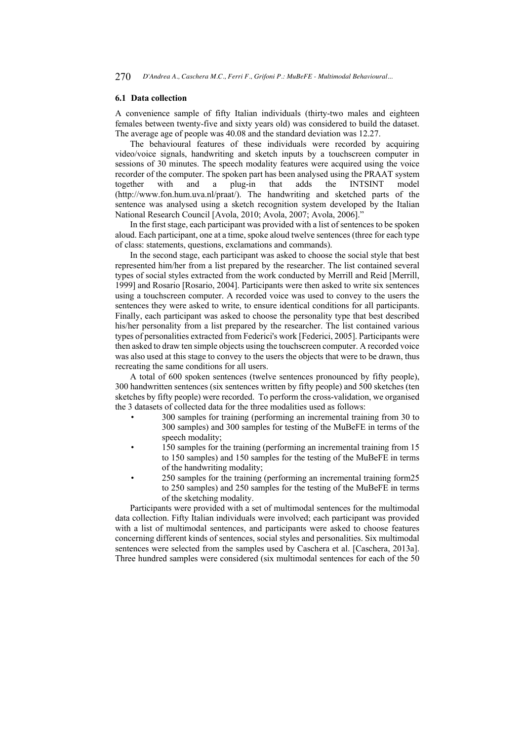#### **6.1 Data collection**

A convenience sample of fifty Italian individuals (thirty-two males and eighteen females between twenty-five and sixty years old) was considered to build the dataset. The average age of people was 40.08 and the standard deviation was 12.27.

The behavioural features of these individuals were recorded by acquiring video/voice signals, handwriting and sketch inputs by a touchscreen computer in sessions of 30 minutes. The speech modality features were acquired using the voice recorder of the computer. The spoken part has been analysed using the PRAAT system together with and a plug-in that adds the INTSINT model (http://www.fon.hum.uva.nl/praat/). The handwriting and sketched parts of the sentence was analysed using a sketch recognition system developed by the Italian National Research Council [Avola, 2010; Avola, 2007; Avola, 2006]."

In the first stage, each participant was provided with a list of sentences to be spoken aloud. Each participant, one at a time, spoke aloud twelve sentences (three for each type of class: statements, questions, exclamations and commands).

In the second stage, each participant was asked to choose the social style that best represented him/her from a list prepared by the researcher. The list contained several types of social styles extracted from the work conducted by Merrill and Reid [Merrill, 1999] and Rosario [Rosario, 2004]. Participants were then asked to write six sentences using a touchscreen computer. A recorded voice was used to convey to the users the sentences they were asked to write, to ensure identical conditions for all participants. Finally, each participant was asked to choose the personality type that best described his/her personality from a list prepared by the researcher. The list contained various types of personalities extracted from Federici's work [Federici, 2005]. Participants were then asked to draw ten simple objects using the touchscreen computer. A recorded voice was also used at this stage to convey to the users the objects that were to be drawn, thus recreating the same conditions for all users.

A total of 600 spoken sentences (twelve sentences pronounced by fifty people), 300 handwritten sentences (six sentences written by fifty people) and 500 sketches (ten sketches by fifty people) were recorded. To perform the cross-validation, we organised the 3 datasets of collected data for the three modalities used as follows:

- 300 samples for training (performing an incremental training from 30 to 300 samples) and 300 samples for testing of the MuBeFE in terms of the speech modality;
- 150 samples for the training (performing an incremental training from 15 to 150 samples) and 150 samples for the testing of the MuBeFE in terms of the handwriting modality;
- 250 samples for the training (performing an incremental training form25 to 250 samples) and 250 samples for the testing of the MuBeFE in terms of the sketching modality.

Participants were provided with a set of multimodal sentences for the multimodal data collection. Fifty Italian individuals were involved; each participant was provided with a list of multimodal sentences, and participants were asked to choose features concerning different kinds of sentences, social styles and personalities. Six multimodal sentences were selected from the samples used by Caschera et al. [Caschera, 2013a]. Three hundred samples were considered (six multimodal sentences for each of the 50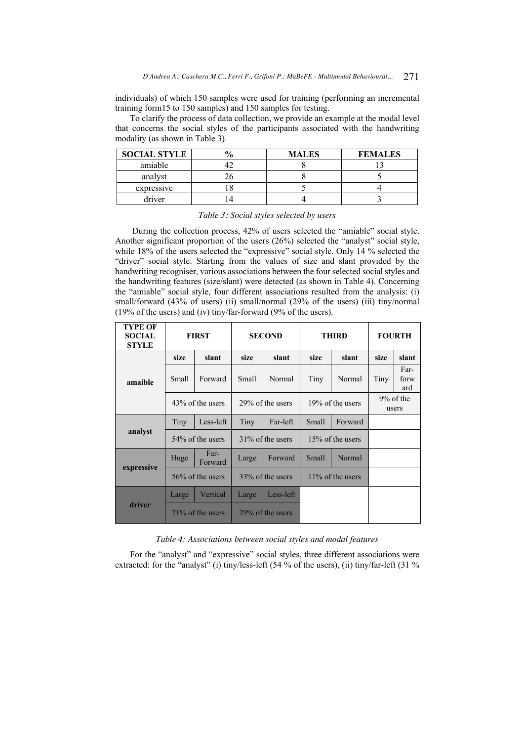individuals) of which 150 samples were used for training (performing an incremental training form15 to 150 samples) and 150 samples for testing.

To clarify the process of data collection, we provide an example at the modal level that concerns the social styles of the participants associated with the handwriting modality (as shown in Table 3).

| <b>SOCIAL STYLE</b> | <b>MALES</b> | <b>FEMALES</b> |
|---------------------|--------------|----------------|
| amiable             |              |                |
| analyst             |              |                |
| expressive          |              |                |
| driver              |              |                |

*Table 3: Social styles selected by users*

During the collection process, 42% of users selected the "amiable" social style. Another significant proportion of the users (26%) selected the "analyst" social style, while 18% of the users selected the "expressive" social style. Only 14 % selected the "driver" social style. Starting from the values of size and slant provided by the handwriting recogniser, various associations between the four selected social styles and the handwriting features (size/slant) were detected (as shown in Table 4). Concerning the "amiable" social style, four different associations resulted from the analysis: (i) small/forward (43% of users) (ii) small/normal (29% of the users) (iii) tiny/normal (19% of the users) and (iv) tiny/far-forward (9% of the users).

| <b>TYPE OF</b><br><b>SOCIAL</b><br><b>STYLE</b> |                     | <b>FIRST</b>        |                     | <b>SECOND</b>    | <b>THIRD</b>        |         | <b>FOURTH</b>        |                     |
|-------------------------------------------------|---------------------|---------------------|---------------------|------------------|---------------------|---------|----------------------|---------------------|
|                                                 | size                | slant               | size                | slant            | size                | slant   | size                 | slant               |
| amaible                                         | Small               | Forward             | <b>Small</b>        | Normal           | Tiny                | Normal  | Tiny                 | Far-<br>forw<br>ard |
|                                                 | 43\% of the users   |                     | 29% of the users    |                  | 19% of the users    |         | $9%$ of the<br>users |                     |
|                                                 | Tiny                | Less-left           | Tiny                | Far-left         | Small               | Forward |                      |                     |
| analyst                                         | 54\% of the users   |                     | $31\%$ of the users |                  | $15\%$ of the users |         |                      |                     |
|                                                 | Huge                | Far-<br>Forward     | Large               | Forward          | Small               | Normal  |                      |                     |
| expressive                                      | $56\%$ of the users |                     | 33% of the users    |                  | $11\%$ of the users |         |                      |                     |
|                                                 | Large               | Vertical            | Large               | Less-left        |                     |         |                      |                     |
| driver                                          |                     | $71\%$ of the users |                     | 29% of the users |                     |         |                      |                     |

*Table 4: Associations between social styles and modal features*

For the "analyst" and "expressive" social styles, three different associations were extracted: for the "analyst" (i) tiny/less-left (54 % of the users), (ii) tiny/far-left (31 %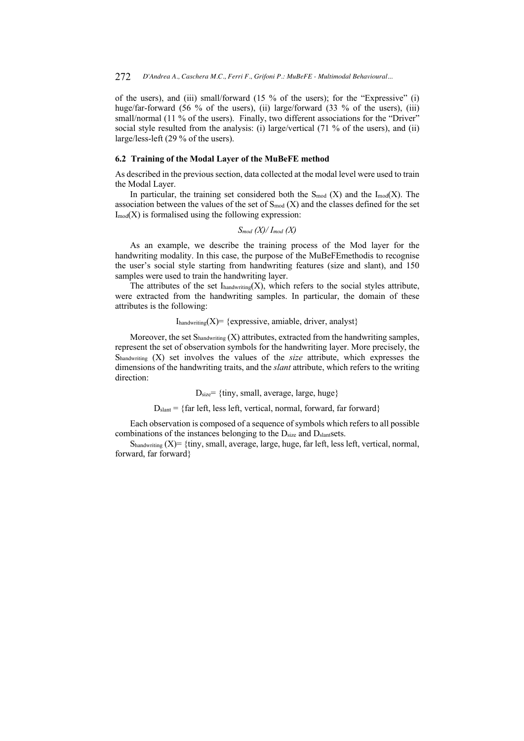of the users), and (iii) small/forward (15 % of the users); for the "Expressive" (i) huge/far-forward (56 % of the users), (ii) large/forward (33 % of the users), (iii) small/normal (11 % of the users). Finally, two different associations for the "Driver" social style resulted from the analysis: (i) large/vertical (71 % of the users), and (ii) large/less-left (29 % of the users).

### **6.2 Training of the Modal Layer of the MuBeFE method**

As described in the previous section, data collected at the modal level were used to train the Modal Layer.

In particular, the training set considered both the  $S_{mod}$  (X) and the  $I_{mod}(X)$ . The association between the values of the set of  $S_{mod}(X)$  and the classes defined for the set  $I_{mod}(X)$  is formalised using the following expression:

$$
S_{mod} (X) / I_{mod} (X)
$$

As an example, we describe the training process of the Mod layer for the handwriting modality. In this case, the purpose of the MuBeFEmethodis to recognise the user's social style starting from handwriting features (size and slant), and 150 samples were used to train the handwriting layer.

The attributes of the set  $I_{\text{handwriting}}(X)$ , which refers to the social styles attribute, were extracted from the handwriting samples. In particular, the domain of these attributes is the following:

### $I_{\text{handwriting}}(X) = \{ \text{expressive}, \text{amiable}, \text{driver}, \text{analyst} \}$

Moreover, the set  $S<sub>handwriting</sub>$  (X) attributes, extracted from the handwriting samples, represent the set of observation symbols for the handwriting layer. More precisely, the Shandwriting (X) set involves the values of the *size* attribute, which expresses the dimensions of the handwriting traits, and the *slant* attribute, which refers to the writing direction:

 $D_{size}$ = {tiny, small, average, large, huge}

 $D_{\text{slant}} = \{ \text{far left, less left, vertical, normal, forward, far forward} \}$ 

Each observation is composed of a sequence of symbols which refers to all possible combinations of the instances belonging to the  $D<sub>size</sub>$  and  $D<sub>slant</sub> sets.$ 

 $S_{\text{handwriting}}$   $(X)$  = {tiny, small, average, large, huge, far left, less left, vertical, normal, forward, far forward}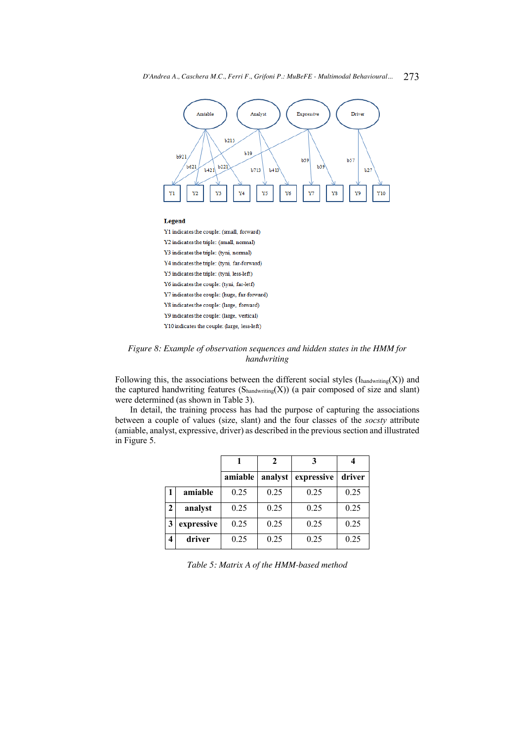

*Figure 8: Example of observation sequences and hidden states in the HMM for handwriting* 

Following this, the associations between the different social styles  $(I_{handwriting}(X))$  and the captured handwriting features  $(S_{handwriting}(X))$  (a pair composed of size and slant) were determined (as shown in Table 3).

In detail, the training process has had the purpose of capturing the associations between a couple of values (size, slant) and the four classes of the *socsty* attribute (amiable, analyst, expressive, driver) as described in the previous section and illustrated in Figure 5.

|              |            |         | 2       |            |        |
|--------------|------------|---------|---------|------------|--------|
|              |            | amiable | analyst | expressive | driver |
|              | amiable    | 0.25    | 0.25    | 0.25       | 0.25   |
| $\mathbf{2}$ | analyst    | 0.25    | 0.25    | 0.25       | 0.25   |
| 3            | expressive | 0.25    | 0.25    | 0.25       | 0.25   |
| 4            | driver     | 0.25    | 0.25    | 0.25       | 0.25   |

*Table 5: Matrix A of the HMM-based method*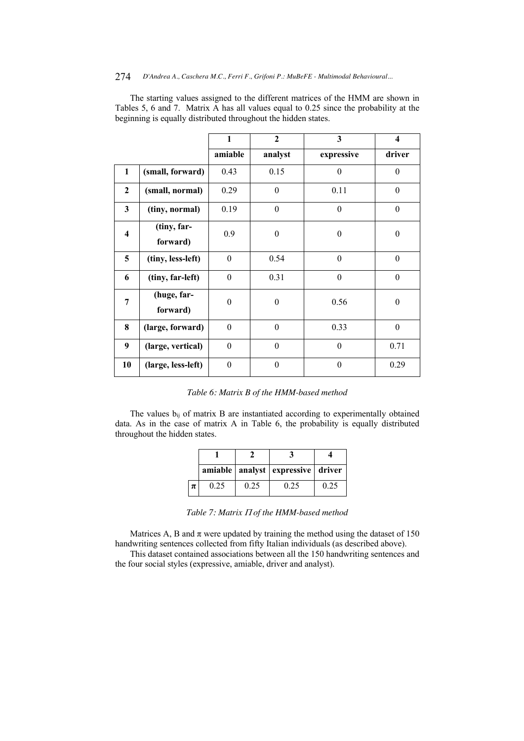### 274 *D'Andrea A., Caschera M.C., Ferri F., Grifoni P.: MuBeFE - Multimodal Behavioural...*

The starting values assigned to the different matrices of the HMM are shown in Tables 5, 6 and 7. Matrix A has all values equal to 0.25 since the probability at the beginning is equally distributed throughout the hidden states.

|                         |                         | $\mathbf{1}$     | $\overline{2}$   | 3          | 4                |
|-------------------------|-------------------------|------------------|------------------|------------|------------------|
|                         |                         | amiable          | analyst          | expressive | driver           |
| 1                       | (small, forward)        | 0.43             | 0.15             | $\theta$   | $\theta$         |
| $\boldsymbol{2}$        | (small, normal)         | 0.29             | $\theta$         | 0.11       | $\theta$         |
| 3                       | (tiny, normal)          | 0.19             | $\boldsymbol{0}$ | $\theta$   | $\boldsymbol{0}$ |
| $\overline{\mathbf{4}}$ | (tiny, far-<br>forward) | 0.9              | $\boldsymbol{0}$ | $\theta$   | $\theta$         |
| 5                       | (tiny, less-left)       | $\theta$         | 0.54             | $\theta$   | $\mathbf{0}$     |
| 6                       | (tiny, far-left)        | $\boldsymbol{0}$ | 0.31             | $\theta$   | $\theta$         |
| 7                       | (huge, far-<br>forward) | $\boldsymbol{0}$ | $\boldsymbol{0}$ | 0.56       | $\boldsymbol{0}$ |
| 8                       | (large, forward)        | $\boldsymbol{0}$ | $\boldsymbol{0}$ | 0.33       | $\theta$         |
| 9                       | (large, vertical)       | $\boldsymbol{0}$ | $\mathbf{0}$     | $\theta$   | 0.71             |
| 10                      | (large, less-left)      | $\theta$         | $\theta$         | $\theta$   | 0.29             |

The values b<sub>ij</sub> of matrix B are instantiated according to experimentally obtained data. As in the case of matrix A in Table 6, the probability is equally distributed throughout the hidden states.

|   |      |      | amiable   analyst   expressive   driver |      |
|---|------|------|-----------------------------------------|------|
| π | 0.25 | 0.25 | 0.25                                    | 0.25 |

Table 7: Matrix  $\Pi$  of the HMM-based method

Matrices A, B and  $\pi$  were updated by training the method using the dataset of 150 handwriting sentences collected from fifty Italian individuals (as described above).

This dataset contained associations between all the 150 handwriting sentences and the four social styles (expressive, amiable, driver and analyst).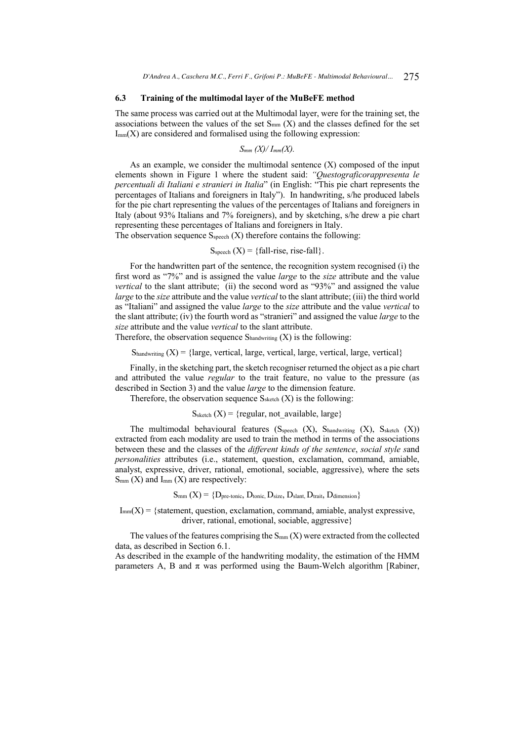#### **6.3 Training of the multimodal layer of the MuBeFE method**

The same process was carried out at the Multimodal layer, were for the training set, the associations between the values of the set  $S_{mm}$  (X) and the classes defined for the set  $I_{mm}(X)$  are considered and formalised using the following expression:

$$
S_{mm}(X)/I_{mm}(X).
$$

As an example, we consider the multimodal sentence  $(X)$  composed of the input elements shown in Figure 1 where the student said: *"Questograficorappresenta le percentuali di Italiani e stranieri in Italia*" (in English: "This pie chart represents the percentages of Italians and foreigners in Italy"). In handwriting, s/he produced labels for the pie chart representing the values of the percentages of Italians and foreigners in Italy (about 93% Italians and 7% foreigners), and by sketching, s/he drew a pie chart representing these percentages of Italians and foreigners in Italy.

The observation sequence  $S_{\text{speech}}(X)$  therefore contains the following:

$$
S_{\text{speech}}(X) = \{\text{fall-rise, rise-fall}\}.
$$

For the handwritten part of the sentence, the recognition system recognised (i) the first word as "7%" and is assigned the value *large* to the *size* attribute and the value *vertical* to the slant attribute; (ii) the second word as "93%" and assigned the value *large* to the *size* attribute and the value *vertical* to the slant attribute; (iii) the third world as "Italiani" and assigned the value *large* to the *size* attribute and the value *vertical* to the slant attribute; (iv) the fourth word as "stranieri" and assigned the value *large* to the *size* attribute and the value *vertical* to the slant attribute.

Therefore, the observation sequence  $S_{handwriting}(X)$  is the following:

 $S<sub>handwriting</sub> (X) = {large, vertical, large, vertical, large, vertical, large, vertical}$ 

Finally, in the sketching part, the sketch recogniser returned the object as a pie chart and attributed the value *regular* to the trait feature, no value to the pressure (as described in Section 3) and the value *large* to the dimension feature.

Therefore, the observation sequence  $S_{\text{sketch}}(X)$  is the following:

### $S_{\text{sketch}}(X) = \{ \text{regular}, \text{not available}, \text{large} \}$

The multimodal behavioural features  $(S_{\text{speech}} (X), S_{\text{handwriting}} (X), S_{\text{sketch}} (X))$ extracted from each modality are used to train the method in terms of the associations between these and the classes of the *different kinds of the sentence*, *social style s*and *personalities* attributes (i.e., statement, question, exclamation, command, amiable, analyst, expressive, driver, rational, emotional, sociable, aggressive), where the sets  $S_{mm}$  (X) and  $I_{mm}$  (X) are respectively:

 $S_{mm}$   $(X) = \{D_{pre\text{-tonic}}, D_{\text{tonic}}, D_{\text{size}}, D_{\text{slant}}, D_{\text{train}}, D_{\text{dimension}}\}$ 

 $I_{mm}(X) = \{$  statement, question, exclamation, command, amiable, analyst expressive, driver, rational, emotional, sociable, aggressive}

The values of the features comprising the  $S_{mm}(X)$  were extracted from the collected data, as described in Section 6.1.

As described in the example of the handwriting modality, the estimation of the HMM parameters A, B and  $\pi$  was performed using the Baum-Welch algorithm [Rabiner,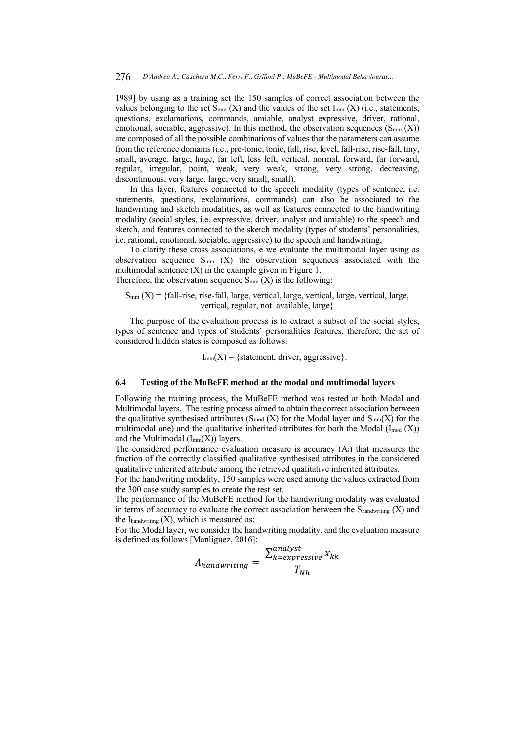1989] by using as a training set the 150 samples of correct association between the values belonging to the set  $S_{mm}$  (X) and the values of the set  $I_{mm}$  (X) (i.e., statements, questions, exclamations, commands, amiable, analyst expressive, driver, rational, emotional, sociable, aggressive). In this method, the observation sequences  $(S_{mm}(X))$ are composed of all the possible combinations of values that the parameters can assume from the reference domains (i.e., pre-tonic, tonic, fall, rise, level, fall-rise, rise-fall, tiny, small, average, large, huge, far left, less left, vertical, normal, forward, far forward, regular, irregular, point, weak, very weak, strong, very strong, decreasing, discontinuous, very large, large, very small, small).

In this layer, features connected to the speech modality (types of sentence, i.e. statements, questions, exclamations, commands) can also be associated to the handwriting and sketch modalities, as well as features connected to the handwriting modality (social styles, i.e. expressive, driver, analyst and amiable) to the speech and sketch, and features connected to the sketch modality (types of students' personalities, i.e. rational, emotional, sociable, aggressive) to the speech and handwriting,

To clarify these cross associations, e we evaluate the multimodal layer using as observation sequence  $S_{mm}$  (X) the observation sequences associated with the multimodal sentence  $(X)$  in the example given in Figure 1.

Therefore, the observation sequence  $S_{mm}(X)$  is the following:

 $S_{mm}(X) = \{fall\text{-}rise\}$ , rise-fall, large, vertical, large, vertical, large, vertical, large, vertical, regular, not available, large}

The purpose of the evaluation process is to extract a subset of the social styles, types of sentence and types of students' personalities features, therefore, the set of considered hidden states is composed as follows:

 $I_{mm}(X) = \{ statement, driver, aggressive\}.$ 

### **6.4 Testing of the MuBeFE method at the modal and multimodal layers**

Following the training process, the MuBeFE method was tested at both Modal and Multimodal layers. The testing process aimed to obtain the correct association between the qualitative synthesised attributes ( $S_{mod}$  (X) for the Modal layer and  $S_{mm}(X)$  for the multimodal one) and the qualitative inherited attributes for both the Modal  $(I_{mod} (X))$ and the Multimodal  $(I_{mm}(X))$  layers.

The considered performance evaluation measure is accuracy (Ai) that measures the fraction of the correctly classified qualitative synthesised attributes in the considered qualitative inherited attribute among the retrieved qualitative inherited attributes.

For the handwriting modality, 150 samples were used among the values extracted from the 300 case study samples to create the test set.

The performance of the MuBeFE method for the handwriting modality was evaluated in terms of accuracy to evaluate the correct association between the  $S_{\text{handwriting}}(X)$  and the  $I_{\text{handwriting}}(X)$ , which is measured as:

For the Modal layer, we consider the handwriting modality, and the evaluation measure is defined as follows [Manliguez, 2016]:  $......$ 

$$
A_{handwriting} = \frac{\sum_{k=expressive}^{analysis} x_{kk}}{T_{Nh}}
$$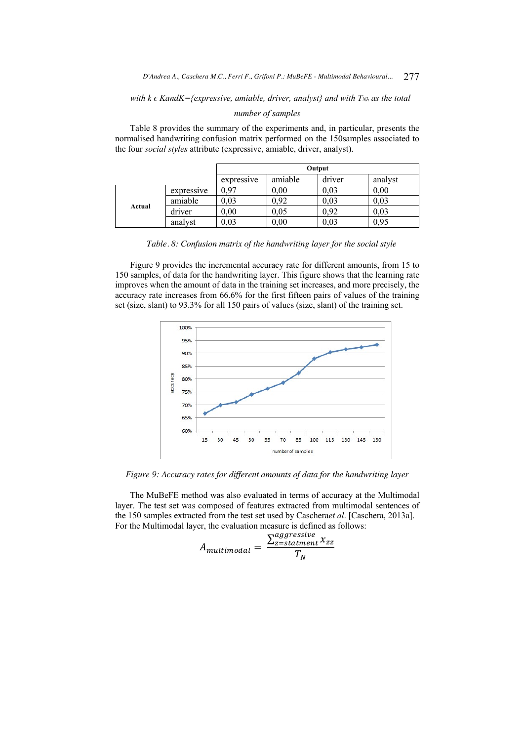*with k*  $\epsilon$  *KandK={expressive, amiable, driver, analyst} and with*  $T_{Nh}$  *as the total* 

### *number of samples*

Table 8 provides the summary of the experiments and, in particular, presents the normalised handwriting confusion matrix performed on the 150samples associated to the four *social styles* attribute (expressive, amiable, driver, analyst).

|        |            | Output     |          |        |         |
|--------|------------|------------|----------|--------|---------|
|        |            | expressive | amiable  | driver | analyst |
| Actual | expressive | 0.97       | $0.00\,$ | 0,03   | 0.00    |
|        | amiable    | 0.03       | 0.92     | 0,03   | 0,03    |
|        | driver     | 0.00       | 0,05     | 0.92   | 0,03    |
|        | analyst    | 0,03       | 0,00     | 0,03   | 0,95    |

*Table. 8: Confusion matrix of the handwriting layer for the social style*

Figure 9 provides the incremental accuracy rate for different amounts, from 15 to 150 samples, of data for the handwriting layer. This figure shows that the learning rate improves when the amount of data in the training set increases, and more precisely, the accuracy rate increases from 66.6% for the first fifteen pairs of values of the training set (size, slant) to 93.3% for all 150 pairs of values (size, slant) of the training set.



*Figure 9: Accuracy rates for different amounts of data for the handwriting layer*

The MuBeFE method was also evaluated in terms of accuracy at the Multimodal layer. The test set was composed of features extracted from multimodal sentences of the 150 samples extracted from the test set used by Caschera*et al*. [Caschera, 2013a]. For the Multimodal layer, the evaluation measure is defined as follows:

$$
A_{multimodal} = \frac{\sum_{z=statment}^{aggressive} x_{zz}}{T_N}
$$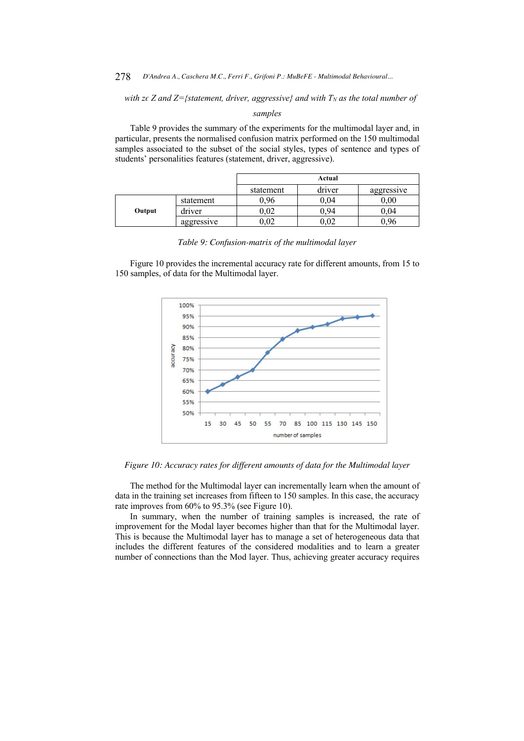278 *D'Andrea A., Caschera M.C., Ferri F., Grifoni P.: MuBeFE - Multimodal Behavioural...* 

*with z* $\epsilon$  *Z and Z={statement, driver, aggressive} and with T<sub>N</sub> <i>as the total number of* 

*samples*

Table 9 provides the summary of the experiments for the multimodal layer and, in particular, presents the normalised confusion matrix performed on the 150 multimodal samples associated to the subset of the social styles, types of sentence and types of students' personalities features (statement, driver, aggressive).

|        |            |            | Actual     |            |  |  |  |
|--------|------------|------------|------------|------------|--|--|--|
|        |            | statement  | driver     | aggressive |  |  |  |
|        | statement  | 0.96       | $0.04\,$   | $_{0,00}$  |  |  |  |
| Output | driver     | $0.02\,$   | ን.94       | 0.04       |  |  |  |
|        | aggressive | $\rm 0.02$ | $\rm 0.02$ | 0.96       |  |  |  |

*Table 9: Confusion-matrix of the multimodal layer*

Figure 10 provides the incremental accuracy rate for different amounts, from 15 to 150 samples, of data for the Multimodal layer.



*Figure 10: Accuracy rates for different amounts of data for the Multimodal layer*

The method for the Multimodal layer can incrementally learn when the amount of data in the training set increases from fifteen to 150 samples. In this case, the accuracy rate improves from 60% to 95.3% (see Figure 10).

In summary, when the number of training samples is increased, the rate of improvement for the Modal layer becomes higher than that for the Multimodal layer. This is because the Multimodal layer has to manage a set of heterogeneous data that includes the different features of the considered modalities and to learn a greater number of connections than the Mod layer. Thus, achieving greater accuracy requires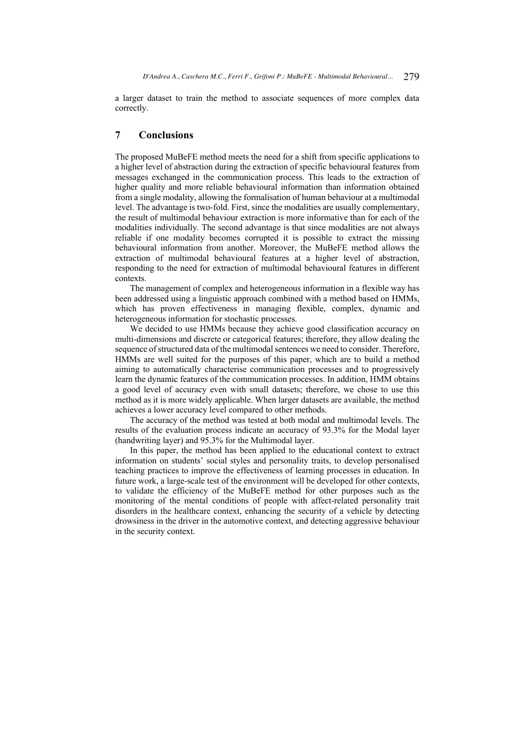a larger dataset to train the method to associate sequences of more complex data correctly.

# **7 Conclusions**

The proposed MuBeFE method meets the need for a shift from specific applications to a higher level of abstraction during the extraction of specific behavioural features from messages exchanged in the communication process. This leads to the extraction of higher quality and more reliable behavioural information than information obtained from a single modality, allowing the formalisation of human behaviour at a multimodal level. The advantage is two-fold. First, since the modalities are usually complementary, the result of multimodal behaviour extraction is more informative than for each of the modalities individually. The second advantage is that since modalities are not always reliable if one modality becomes corrupted it is possible to extract the missing behavioural information from another. Moreover, the MuBeFE method allows the extraction of multimodal behavioural features at a higher level of abstraction, responding to the need for extraction of multimodal behavioural features in different contexts.

The management of complex and heterogeneous information in a flexible way has been addressed using a linguistic approach combined with a method based on HMMs, which has proven effectiveness in managing flexible, complex, dynamic and heterogeneous information for stochastic processes.

We decided to use HMMs because they achieve good classification accuracy on multi-dimensions and discrete or categorical features; therefore, they allow dealing the sequence of structured data of the multimodal sentences we need to consider. Therefore, HMMs are well suited for the purposes of this paper, which are to build a method aiming to automatically characterise communication processes and to progressively learn the dynamic features of the communication processes. In addition, HMM obtains a good level of accuracy even with small datasets; therefore, we chose to use this method as it is more widely applicable. When larger datasets are available, the method achieves a lower accuracy level compared to other methods.

The accuracy of the method was tested at both modal and multimodal levels. The results of the evaluation process indicate an accuracy of 93.3% for the Modal layer (handwriting layer) and 95.3% for the Multimodal layer.

In this paper, the method has been applied to the educational context to extract information on students' social styles and personality traits, to develop personalised teaching practices to improve the effectiveness of learning processes in education. In future work, a large-scale test of the environment will be developed for other contexts, to validate the efficiency of the MuBeFE method for other purposes such as the monitoring of the mental conditions of people with affect-related personality trait disorders in the healthcare context, enhancing the security of a vehicle by detecting drowsiness in the driver in the automotive context, and detecting aggressive behaviour in the security context.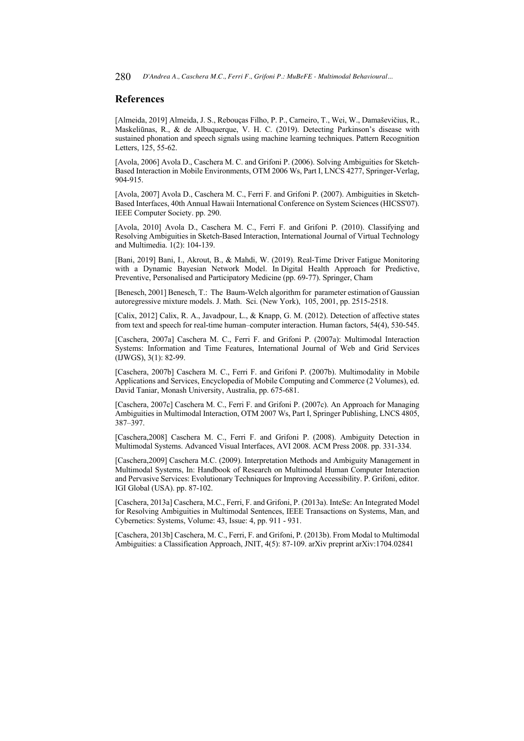280 *D'Andrea A., Caschera M.C., Ferri F., Grifoni P.: MuBeFE - Multimodal Behavioural...* 

# **References**

[Almeida, 2019] Almeida, J. S., Rebouças Filho, P. P., Carneiro, T., Wei, W., Damaševičius, R., Maskeliūnas, R., & de Albuquerque, V. H. C. (2019). Detecting Parkinson's disease with sustained phonation and speech signals using machine learning techniques. Pattern Recognition Letters, 125, 55-62.

[Avola, 2006] Avola D., Caschera M. C. and Grifoni P. (2006). Solving Ambiguities for Sketch-Based Interaction in Mobile Environments, OTM 2006 Ws, Part I, LNCS 4277, Springer-Verlag, 904-915.

[Avola, 2007] Avola D., Caschera M. C., Ferri F. and Grifoni P. (2007). Ambiguities in Sketch-Based Interfaces, 40th Annual Hawaii International Conference on System Sciences (HICSS'07). IEEE Computer Society. pp. 290.

[Avola, 2010] Avola D., Caschera M. C., Ferri F. and Grifoni P. (2010). Classifying and Resolving Ambiguities in Sketch-Based Interaction, International Journal of Virtual Technology and Multimedia. 1(2): 104-139.

[Bani, 2019] Bani, I., Akrout, B., & Mahdi, W. (2019). Real-Time Driver Fatigue Monitoring with a Dynamic Bayesian Network Model. In Digital Health Approach for Predictive, Preventive, Personalised and Participatory Medicine (pp. 69-77). Springer, Cham

[Benesch, 2001] Benesch, T.: The Baum-Welch algorithm for parameter estimation of Gaussian autoregressive mixture models. J. Math. Sci. (New York), 105, 2001, pp. 2515-2518.

[Calix, 2012] Calix, R. A., Javadpour, L., & Knapp, G. M. (2012). Detection of affective states from text and speech for real-time human–computer interaction. Human factors, 54(4), 530-545.

[Caschera, 2007a] Caschera M. C., Ferri F. and Grifoni P. (2007a): Multimodal Interaction Systems: Information and Time Features, International Journal of Web and Grid Services (IJWGS), 3(1): 82-99.

[Caschera, 2007b] Caschera M. C., Ferri F. and Grifoni P. (2007b). Multimodality in Mobile Applications and Services, Encyclopedia of Mobile Computing and Commerce (2 Volumes), ed. David Taniar, Monash University, Australia, pp. 675-681.

[Caschera, 2007c] Caschera M. C., Ferri F. and Grifoni P. (2007c). An Approach for Managing Ambiguities in Multimodal Interaction, OTM 2007 Ws, Part I, Springer Publishing, LNCS 4805, 387–397.

[Caschera,2008] Caschera M. C., Ferri F. and Grifoni P. (2008). Ambiguity Detection in Multimodal Systems. Advanced Visual Interfaces, AVI 2008. ACM Press 2008. pp. 331-334.

[Caschera,2009] Caschera M.C. (2009). Interpretation Methods and Ambiguity Management in Multimodal Systems, In: Handbook of Research on Multimodal Human Computer Interaction and Pervasive Services: Evolutionary Techniques for Improving Accessibility. P. Grifoni, editor. IGI Global (USA). pp. 87-102.

[Caschera, 2013a] Caschera, M.C., Ferri, F. and Grifoni, P. (2013a). InteSe: An Integrated Model for Resolving Ambiguities in Multimodal Sentences, IEEE Transactions on Systems, Man, and Cybernetics: Systems, Volume: 43, Issue: 4, pp. 911 - 931.

[Caschera, 2013b] Caschera, M. C., Ferri, F. and Grifoni, P. (2013b). From Modal to Multimodal Ambiguities: a Classification Approach, JNIT, 4(5): 87-109. arXiv preprint arXiv:1704.02841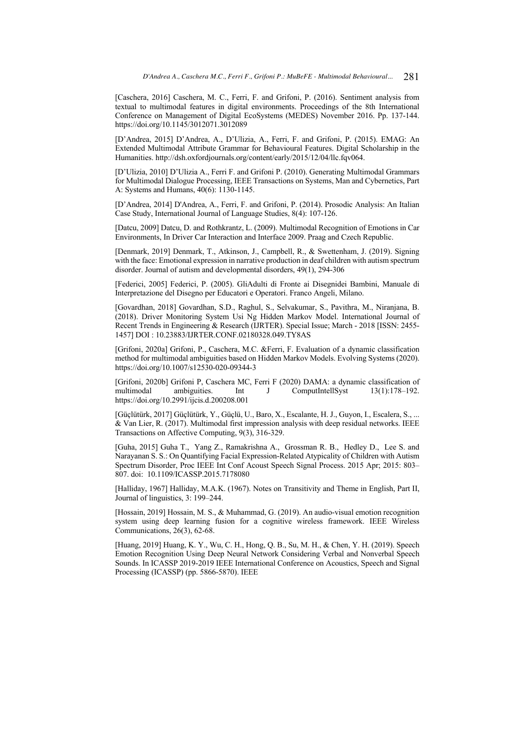[Caschera, 2016] Caschera, M. C., Ferri, F. and Grifoni, P. (2016). Sentiment analysis from textual to multimodal features in digital environments. Proceedings of the 8th International Conference on Management of Digital EcoSystems (MEDES) November 2016. Pp. 137-144. https://doi.org/10.1145/3012071.3012089

[D'Andrea, 2015] D'Andrea, A., D'Ulizia, A., Ferri, F. and Grifoni, P. (2015). EMAG: An Extended Multimodal Attribute Grammar for Behavioural Features. Digital Scholarship in the Humanities. http://dsh.oxfordjournals.org/content/early/2015/12/04/llc.fqv064.

[D'Ulizia, 2010] D'Ulizia A., Ferri F. and Grifoni P. (2010). Generating Multimodal Grammars for Multimodal Dialogue Processing, IEEE Transactions on Systems, Man and Cybernetics, Part A: Systems and Humans, 40(6): 1130-1145.

[D'Andrea, 2014] D'Andrea, A., Ferri, F. and Grifoni, P. (2014). Prosodic Analysis: An Italian Case Study, International Journal of Language Studies, 8(4): 107-126.

[Datcu, 2009] Datcu, D. and Rothkrantz, L. (2009). Multimodal Recognition of Emotions in Car Environments, In Driver Car Interaction and Interface 2009. Praag and Czech Republic.

[Denmark, 2019] Denmark, T., Atkinson, J., Campbell, R., & Swettenham, J. (2019). Signing with the face: Emotional expression in narrative production in deaf children with autism spectrum disorder. Journal of autism and developmental disorders, 49(1), 294-306

[Federici, 2005] Federici, P. (2005). GliAdulti di Fronte ai Disegnidei Bambini, Manuale di Interpretazione del Disegno per Educatori e Operatori. Franco Angeli, Milano.

[Govardhan, 2018] Govardhan, S.D., Raghul, S., Selvakumar, S., Pavithra, M., Niranjana, B. (2018). Driver Monitoring System Usi Ng Hidden Markov Model. International Journal of Recent Trends in Engineering & Research (IJRTER). Special Issue; March - 2018 [ISSN: 2455- 1457] DOI : 10.23883/IJRTER.CONF.02180328.049.TY8AS

[Grifoni, 2020a] Grifoni, P., Caschera, M.C. &Ferri, F. Evaluation of a dynamic classification method for multimodal ambiguities based on Hidden Markov Models. Evolving Systems (2020). https://doi.org/10.1007/s12530-020-09344-3

[Grifoni, 2020b] Grifoni P, Caschera MC, Ferri F (2020) DAMA: a dynamic classification of ComputIntellSyst https://doi.org/10.2991/ijcis.d.200208.001

[Güçlütürk, 2017] Güçlütürk, Y., Güçlü, U., Baro, X., Escalante, H. J., Guyon, I., Escalera, S., ... & Van Lier, R. (2017). Multimodal first impression analysis with deep residual networks. IEEE Transactions on Affective Computing, 9(3), 316-329.

[Guha, 2015] Guha T., Yang Z., Ramakrishna A., Grossman R. B., Hedley D., Lee S. and Narayanan S. S.: On Quantifying Facial Expression-Related Atypicality of Children with Autism Spectrum Disorder, Proc IEEE Int Conf Acoust Speech Signal Process. 2015 Apr; 2015: 803– 807. doi: 10.1109/ICASSP.2015.7178080

[Halliday, 1967] Halliday, M.A.K. (1967). Notes on Transitivity and Theme in English, Part II, Journal of linguistics, 3: 199–244.

[Hossain, 2019] Hossain, M. S., & Muhammad, G. (2019). An audio-visual emotion recognition system using deep learning fusion for a cognitive wireless framework. IEEE Wireless Communications, 26(3), 62-68.

[Huang, 2019] Huang, K. Y., Wu, C. H., Hong, Q. B., Su, M. H., & Chen, Y. H. (2019). Speech Emotion Recognition Using Deep Neural Network Considering Verbal and Nonverbal Speech Sounds. In ICASSP 2019-2019 IEEE International Conference on Acoustics, Speech and Signal Processing (ICASSP) (pp. 5866-5870). IEEE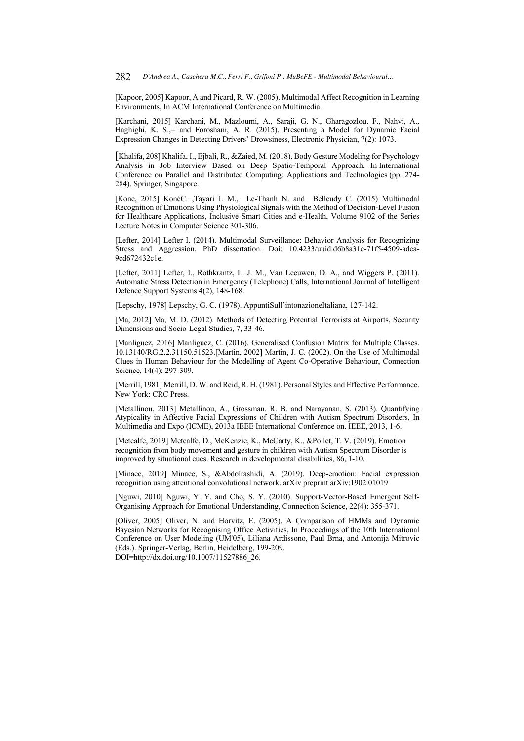[Kapoor, 2005] Kapoor, A and Picard, R. W. (2005). Multimodal Affect Recognition in Learning Environments, In ACM International Conference on Multimedia.

[Karchani, 2015] Karchani, M., Mazloumi, A., Saraji, G. N., Gharagozlou, F., Nahvi, A., Haghighi, K. S.,= and Foroshani, A. R. (2015). Presenting a Model for Dynamic Facial Expression Changes in Detecting Drivers' Drowsiness, Electronic Physician, 7(2): 1073.

[Khalifa, 208] Khalifa, I., Ejbali, R., &Zaied, M. (2018). Body Gesture Modeling for Psychology Analysis in Job Interview Based on Deep Spatio-Temporal Approach. In International Conference on Parallel and Distributed Computing: Applications and Technologies (pp. 274- 284). Springer, Singapore.

[Koné, 2015] KonéC. ,Tayari I. M., Le-Thanh N. and Belleudy C. (2015) Multimodal Recognition of Emotions Using Physiological Signals with the Method of Decision-Level Fusion for Healthcare Applications, Inclusive Smart Cities and e-Health, Volume 9102 of the Series Lecture Notes in Computer Science 301-306.

[Lefter, 2014] Lefter I. (2014). Multimodal Surveillance: Behavior Analysis for Recognizing Stress and Aggression. PhD dissertation. Doi: 10.4233/uuid:d6b8a31e-71f5-4509-adca-9cd672432c1e.

[Lefter, 2011] Lefter, I., Rothkrantz, L. J. M., Van Leeuwen, D. A., and Wiggers P. (2011). Automatic Stress Detection in Emergency (Telephone) Calls, International Journal of Intelligent Defence Support Systems 4(2), 148-168.

[Lepschy, 1978] Lepschy, G. C. (1978). AppuntiSull'intonazioneItaliana, 127-142.

[Ma, 2012] Ma, M. D. (2012). Methods of Detecting Potential Terrorists at Airports, Security Dimensions and Socio-Legal Studies, 7, 33-46.

[Manliguez, 2016] Manliguez, C. (2016). Generalised Confusion Matrix for Multiple Classes. 10.13140/RG.2.2.31150.51523.[Martin, 2002] Martin, J. C. (2002). On the Use of Multimodal Clues in Human Behaviour for the Modelling of Agent Co-Operative Behaviour, Connection Science, 14(4): 297-309.

[Merrill, 1981] Merrill, D. W. and Reid, R. H. (1981). Personal Styles and Effective Performance. New York: CRC Press.

[Metallinou, 2013] Metallinou, A., Grossman, R. B. and Narayanan, S. (2013). Quantifying Atypicality in Affective Facial Expressions of Children with Autism Spectrum Disorders, In Multimedia and Expo (ICME), 2013a IEEE International Conference on. IEEE, 2013, 1-6.

[Metcalfe, 2019] Metcalfe, D., McKenzie, K., McCarty, K., &Pollet, T. V. (2019). Emotion recognition from body movement and gesture in children with Autism Spectrum Disorder is improved by situational cues. Research in developmental disabilities, 86, 1-10.

[Minaee, 2019] Minaee, S., &Abdolrashidi, A. (2019). Deep-emotion: Facial expression recognition using attentional convolutional network. arXiv preprint arXiv:1902.01019

[Nguwi, 2010] Nguwi, Y. Y. and Cho, S. Y. (2010). Support-Vector-Based Emergent Self-Organising Approach for Emotional Understanding, Connection Science, 22(4): 355-371.

[Oliver, 2005] Oliver, N. and Horvitz, E. (2005). A Comparison of HMMs and Dynamic Bayesian Networks for Recognising Office Activities, In Proceedings of the 10th International Conference on User Modeling (UM'05), Liliana Ardissono, Paul Brna, and Antonija Mitrovic (Eds.). Springer-Verlag, Berlin, Heidelberg, 199-209.

DOI=http://dx.doi.org/10.1007/11527886\_26.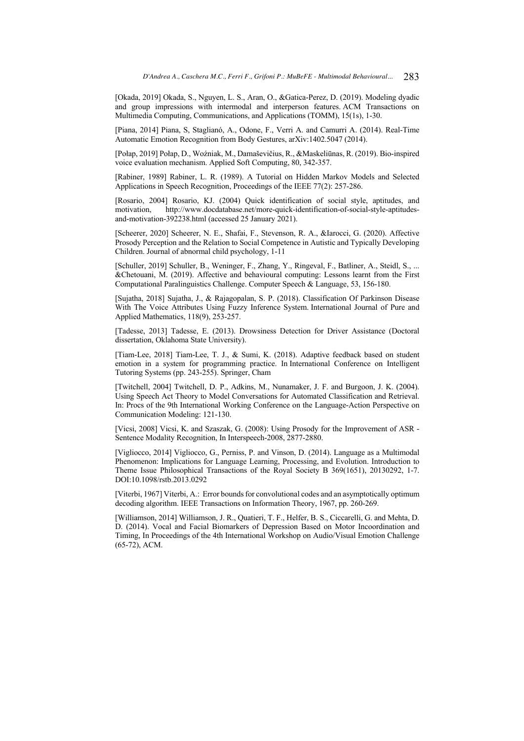[Okada, 2019] Okada, S., Nguyen, L. S., Aran, O., &Gatica-Perez, D. (2019). Modeling dyadic and group impressions with intermodal and interperson features. ACM Transactions on Multimedia Computing, Communications, and Applications (TOMM), 15(1s), 1-30.

[Piana, 2014] Piana, S, Staglianó, A., Odone, F., Verri A. and Camurri A. (2014). Real-Time Automatic Emotion Recognition from Body Gestures, arXiv:1402.5047 (2014).

[Połap, 2019] Połap, D., Woźniak, M., Damaševičius, R., &Maskeliūnas, R. (2019). Bio-inspired voice evaluation mechanism. Applied Soft Computing, 80, 342-357.

[Rabiner, 1989] Rabiner, L. R. (1989). A Tutorial on Hidden Markov Models and Selected Applications in Speech Recognition, Proceedings of the IEEE 77(2): 257-286.

[Rosario, 2004] Rosario, KJ. (2004) Quick identification of social style, aptitudes, and motivation, http://www.docdatabase.net/more-quick-identification-of-social-style-aptitudesand-motivation-392238.html (accessed 25 January 2021).

[Scheerer, 2020] Scheerer, N. E., Shafai, F., Stevenson, R. A., &Iarocci, G. (2020). Affective Prosody Perception and the Relation to Social Competence in Autistic and Typically Developing Children. Journal of abnormal child psychology, 1-11

[Schuller, 2019] Schuller, B., Weninger, F., Zhang, Y., Ringeval, F., Batliner, A., Steidl, S., ... &Chetouani, M. (2019). Affective and behavioural computing: Lessons learnt from the First Computational Paralinguistics Challenge. Computer Speech & Language, 53, 156-180.

[Sujatha, 2018] Sujatha, J., & Rajagopalan, S. P. (2018). Classification Of Parkinson Disease With The Voice Attributes Using Fuzzy Inference System. International Journal of Pure and Applied Mathematics, 118(9), 253-257.

[Tadesse, 2013] Tadesse, E. (2013). Drowsiness Detection for Driver Assistance (Doctoral dissertation, Oklahoma State University).

[Tiam-Lee, 2018] Tiam-Lee, T. J., & Sumi, K. (2018). Adaptive feedback based on student emotion in a system for programming practice. In International Conference on Intelligent Tutoring Systems (pp. 243-255). Springer, Cham

[Twitchell, 2004] Twitchell, D. P., Adkins, M., Nunamaker, J. F. and Burgoon, J. K. (2004). Using Speech Act Theory to Model Conversations for Automated Classification and Retrieval. In: Procs of the 9th International Working Conference on the Language-Action Perspective on Communication Modeling: 121-130.

[Vicsi, 2008] Vicsi, K. and Szaszak, G. (2008): Using Prosody for the Improvement of ASR - Sentence Modality Recognition, In Interspeech-2008, 2877-2880.

[Vigliocco, 2014] Vigliocco, G., Perniss, P. and Vinson, D. (2014). Language as a Multimodal Phenomenon: Implications for Language Learning, Processing, and Evolution. Introduction to Theme Issue Philosophical Transactions of the Royal Society B 369(1651), 20130292, 1-7. DOI:10.1098/rstb.2013.0292

[Viterbi, 1967] Viterbi, A.: Error bounds for convolutional codes and an asymptotically optimum decoding algorithm. IEEE Transactions on Information Theory, 1967, pp. 260-269.

[Williamson, 2014] Williamson, J. R., Quatieri, T. F., Helfer, B. S., Ciccarelli, G. and Mehta, D. D. (2014). Vocal and Facial Biomarkers of Depression Based on Motor Incoordination and Timing, In Proceedings of the 4th International Workshop on Audio/Visual Emotion Challenge (65-72), ACM.